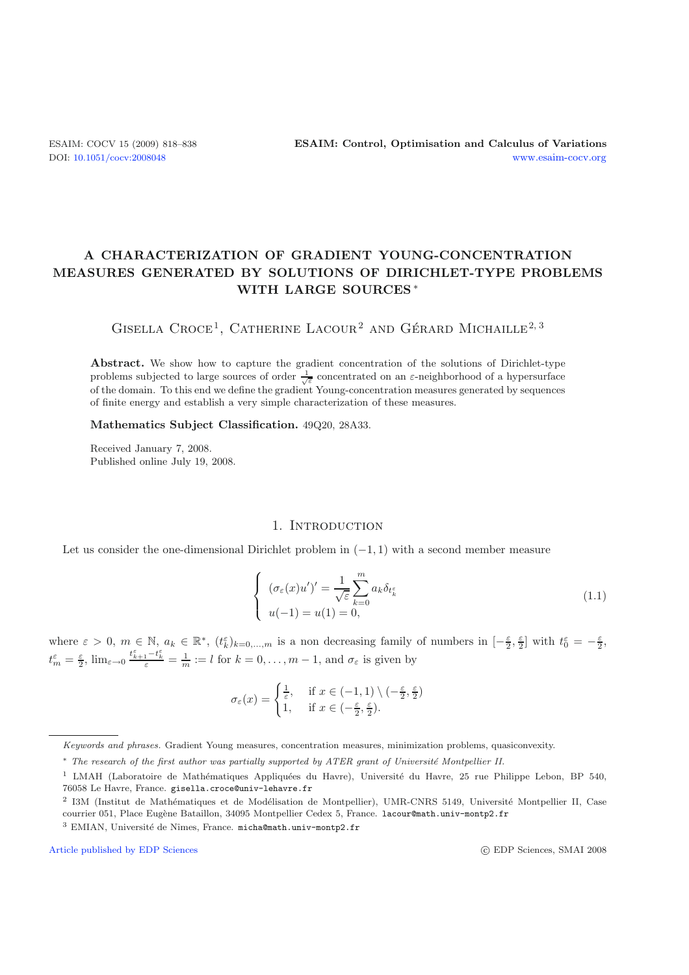## **A CHARACTERIZATION OF GRADIENT YOUNG-CONCENTRATION MEASURES GENERATED BY SOLUTIONS OF DIRICHLET-TYPE PROBLEMS WITH LARGE SOURCES** ∗

# GISELLA CROCE<sup>1</sup>, CATHERINE LACOUR<sup>2</sup> AND GÉRARD MICHAILLE<sup>2, 3</sup>

**Abstract.** We show how to capture the gradient concentration of the solutions of Dirichlet-type problems subjected to large sources of order  $\frac{1}{\sqrt{\varepsilon}}$  concentrated on an  $\varepsilon$ -neighborhood of a hypersurface of the domain. To this end we define the gradient Young-concentration measures generated by sequences of finite energy and establish a very simple characterization of these measures.

<span id="page-0-0"></span>**Mathematics Subject Classification.** 49Q20, 28A33.

Received January 7, 2008. Published online July 19, 2008.

#### 1. Introduction

Let us consider the one-dimensional Dirichlet problem in  $(-1, 1)$  with a second member measure

$$
\begin{cases}\n(\sigma_{\varepsilon}(x)u')' = \frac{1}{\sqrt{\varepsilon}} \sum_{k=0}^{m} a_k \delta_{t_k^{\varepsilon}} \\
u(-1) = u(1) = 0,\n\end{cases}
$$
\n(1.1)

where  $\varepsilon > 0$ ,  $m \in \mathbb{N}$ ,  $a_k \in \mathbb{R}^*$ ,  $(t_k^{\varepsilon})_{k=0,\dots,m}$  is a non decreasing family of numbers in  $\left[-\frac{\varepsilon}{2},\frac{\varepsilon}{2}\right]$  with  $t_0^{\varepsilon} = -\frac{\varepsilon}{2}$ ,  $t_m^{\varepsilon} = \frac{\varepsilon}{2}$ ,  $\lim_{\varepsilon \to 0} \frac{t_{k+1}^{\varepsilon} - t_k^{\varepsilon}}{\varepsilon} = \frac{1}{m} := l$  for  $k = 0, \ldots, m - 1$ , and  $\sigma_{\varepsilon}$  is given by

$$
\sigma_{\varepsilon}(x) = \begin{cases} \frac{1}{\varepsilon}, & \text{if } x \in (-1,1) \setminus (-\frac{\varepsilon}{2}, \frac{\varepsilon}{2})\\ 1, & \text{if } x \in (-\frac{\varepsilon}{2}, \frac{\varepsilon}{2}). \end{cases}
$$

[Article published by EDP Sciences](http://www.edpsciences.org) c EDP Sciences c EDP Sciences, SMAI 2008

*Keywords and phrases.* Gradient Young measures, concentration measures, minimization problems, quasiconvexity.

<sup>∗</sup> *The research of the first author was partially supported by ATER grant of Universit´e Montpellier II.*

<sup>&</sup>lt;sup>1</sup> LMAH (Laboratoire de Mathématiques Appliquées du Havre), Université du Havre, 25 rue Philippe Lebon, BP 540, 76058 Le Havre, France. gisella.croce@univ-lehavre.fr

<sup>&</sup>lt;sup>2</sup> I3M (Institut de Mathématiques et de Modélisation de Montpellier), UMR-CNRS 5149, Université Montpellier II, Case courrier 051, Place Eugène Bataillon, 34095 Montpellier Cedex 5, France. lacour@math.univ-montp2.fr

<sup>&</sup>lt;sup>3</sup> EMIAN, Université de Nîmes, France. micha@math.univ-montp2.fr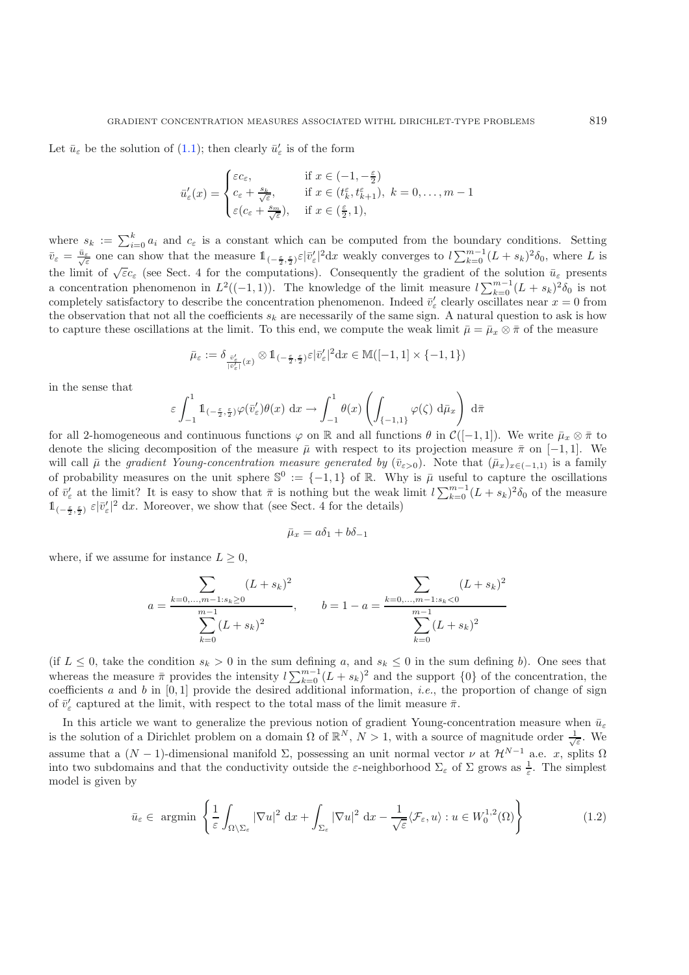Let  $\bar{u}_{\varepsilon}$  be the solution of [\(1.1\)](#page-0-0); then clearly  $\bar{u}'_{\varepsilon}$  is of the form

$$
\bar{u}'_{\varepsilon}(x) = \begin{cases}\n\varepsilon c_{\varepsilon}, & \text{if } x \in (-1, -\frac{\varepsilon}{2}) \\
c_{\varepsilon} + \frac{s_k}{\sqrt{\varepsilon}}, & \text{if } x \in (t_k^{\varepsilon}, t_{k+1}^{\varepsilon}), \ k = 0, \dots, m-1 \\
\varepsilon (c_{\varepsilon} + \frac{s_m}{\sqrt{\varepsilon}}), & \text{if } x \in (\frac{\varepsilon}{2}, 1),\n\end{cases}
$$

where  $s_k := \sum_{i=0}^k a_i$  and  $c_{\varepsilon}$  is a constant which can be computed from the boundary conditions. Setting  $\bar{v}_{\varepsilon} = \frac{\bar{u}_{\varepsilon}}{\sqrt{\varepsilon}}$  one can show that the measure  $1_{(-\frac{\varepsilon}{2}, \frac{\varepsilon}{2})} \varepsilon |\bar{v}_{\varepsilon}'|^2 dx$  weakly converges to  $l \sum_{k=0}^{m-1} (L + s_k)^2 \delta_0$ , where L is the limit of  $\sqrt{\varepsilon}c_{\varepsilon}$  (see Sect. 4 for the computations). Consequently the gradient of the solution  $\bar{u}_{\varepsilon}$  presents a concentration phenomenon in  $L^2((-1,1))$ . The knowledge of the limit measure  $l\sum_{k=0}^{m-1}(L + s_k)^2\delta_0$  is not completely satisfactory to describe the concentration phenomenon. Indeed  $\bar{v}'_{\varepsilon}$  clearly oscillates near  $x = 0$  from the observation that not all the coefficients  $s_k$  are necessarily of the same sign. A natural question to ask is how to capture these oscillations at the limit. To this end, we compute the weak limit  $\bar{\mu} = \bar{\mu}_x \otimes \bar{\pi}$  of the measure

$$
\bar{\mu}_{\varepsilon} := \delta_{\frac{\bar{v}_{\varepsilon}'}{|\bar{v}_{\varepsilon}'|}(x)} \otimes 1\!\!1_{(-\frac{\varepsilon}{2},\frac{\varepsilon}{2})} \varepsilon |\bar{v}_{\varepsilon}'|^2 \mathrm{d} x \in \mathbb{M}([-1,1] \times \{-1,1\})
$$

in the sense that

$$
\varepsilon \int_{-1}^{1} 1\!\!1_{(-\frac{\varepsilon}{2},\frac{\varepsilon}{2})} \varphi(\overline{v}'_{\varepsilon}) \theta(x) dx \to \int_{-1}^{1} \theta(x) \left( \int_{\{-1,1\}} \varphi(\zeta) d\overline{\mu}_x \right) d\overline{\pi}
$$

for all 2-homogeneous and continuous functions  $\varphi$  on R and all functions  $\theta$  in  $\mathcal{C}([-1,1])$ . We write  $\bar{\mu}_x \otimes \bar{\pi}$  to denote the slicing decomposition of the measure  $\bar{\mu}$  with respect to its projection measure  $\bar{\pi}$  on [−1, 1]. We will call  $\bar{\mu}$  the *gradient Young-concentration measure generated by* ( $\bar{v}_{\varepsilon>0}$ ). Note that  $(\bar{\mu}_x)_{x\in(-1,1)}$  is a family of probability measures on the unit sphere  $\mathbb{S}^0 := \{-1,1\}$  of R. Why is  $\bar{\mu}$  useful to capture the oscillations of  $\bar{v}'_{\varepsilon}$  at the limit? It is easy to show that  $\bar{\pi}$  is nothing but the weak limit  $l \sum_{k=0}^{m-1} (L + s_k)^2 \delta_0$  of the measure  $1\left(-\frac{\epsilon}{2},\frac{\epsilon}{2}\right) \varepsilon |\bar{v}_{\varepsilon}'|^2 dx$ . Moreover, we show that (see Sect. 4 for the details)

$$
\bar{\mu}_x = a\delta_1 + b\delta_{-1}
$$

where, if we assume for instance  $L \geq 0$ ,

$$
a = \frac{\sum_{k=0,\dots,m-1:s_k\geq 0} (L+s_k)^2}{\sum_{k=0}^{m-1} (L+s_k)^2}, \qquad b = 1 - a = \frac{\sum_{k=0,\dots,m-1:s_k<0} (L+s_k)^2}{\sum_{k=0}^{m-1} (L+s_k)^2}
$$

<span id="page-1-0"></span>(if  $L \leq 0$ , take the condition  $s_k > 0$  in the sum defining a, and  $s_k \leq 0$  in the sum defining b). One sees that whereas the measure  $\bar{\pi}$  provides the intensity  $l\sum_{k=0}^{m-1} (L + s_k)^2$  and the support  $\{0\}$  of the concentration, the coefficients a and b in  $[0,1]$  provide the desired additional information, *i.e.*, the proportion of change of sign of  $\bar{v}'_{\varepsilon}$  captured at the limit, with respect to the total mass of the limit measure  $\bar{\pi}$ .

In this article we want to generalize the previous notion of gradient Young-concentration measure when  $\bar{u}_{\varepsilon}$ is the solution of a Dirichlet problem on a domain  $\Omega$  of  $\mathbb{R}^N$ ,  $N>1$ , with a source of magnitude order  $\frac{1}{\sqrt{\varepsilon}}$ . We assume that a  $(N-1)$ -dimensional manifold  $\Sigma$ , possessing an unit normal vector  $\nu$  at  $\mathcal{H}^{N-1}$  a.e. x, splits  $\Omega$ into two subdomains and that the conductivity outside the  $\varepsilon$ -neighborhood  $\Sigma_{\varepsilon}$  of  $\Sigma$  grows as  $\frac{1}{\varepsilon}$ . The simplest model is given by

$$
\bar{u}_{\varepsilon} \in \text{argmin}\left\{ \frac{1}{\varepsilon} \int_{\Omega \setminus \Sigma_{\varepsilon}} |\nabla u|^2 \, \mathrm{d}x + \int_{\Sigma_{\varepsilon}} |\nabla u|^2 \, \mathrm{d}x - \frac{1}{\sqrt{\varepsilon}} \langle \mathcal{F}_{\varepsilon}, u \rangle : u \in W_0^{1,2}(\Omega) \right\}
$$
(1.2)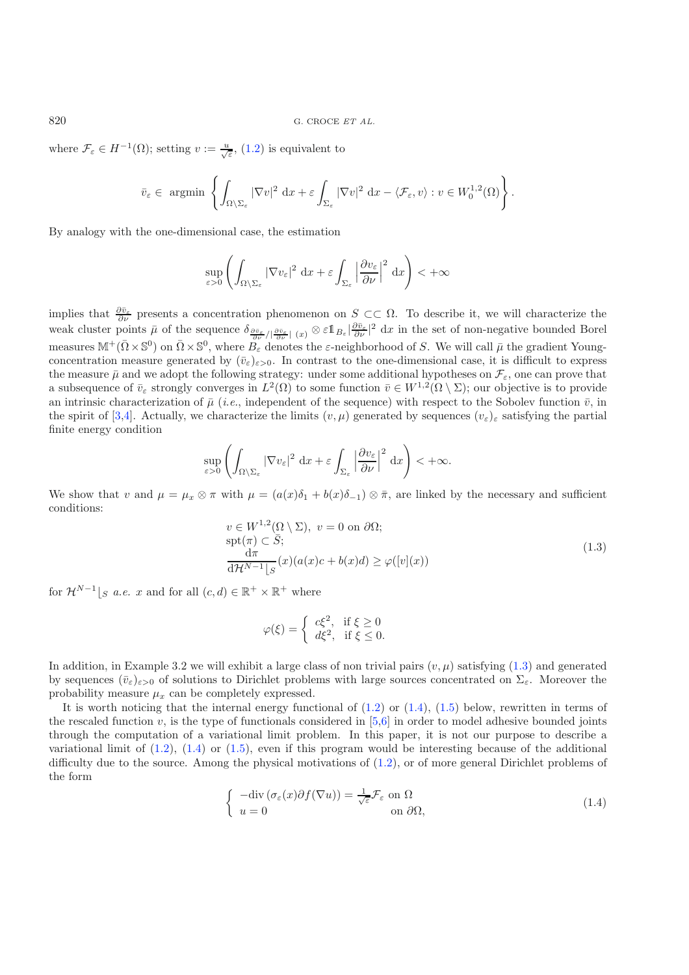where  $\mathcal{F}_{\varepsilon} \in H^{-1}(\Omega)$ ; setting  $v := \frac{u}{\sqrt{\varepsilon}}$ , [\(1.2\)](#page-1-0) is equivalent to

$$
\bar{v}_{\varepsilon} \in \operatorname{argmin} \left\{ \int_{\Omega \setminus \Sigma_{\varepsilon}} |\nabla v|^2 \, dx + \varepsilon \int_{\Sigma_{\varepsilon}} |\nabla v|^2 \, dx - \langle \mathcal{F}_{\varepsilon}, v \rangle : v \in W_0^{1,2}(\Omega) \right\}.
$$

By analogy with the one-dimensional case, the estimation

$$
\sup_{\varepsilon>0}\left(\int_{\Omega\setminus\Sigma_{\varepsilon}}|\nabla v_{\varepsilon}|^2\,\mathrm{d}x+\varepsilon\int_{\Sigma_{\varepsilon}}\left|\frac{\partial v_{\varepsilon}}{\partial\nu}\right|^2\,\mathrm{d}x\right)<+\infty
$$

implies that  $\frac{\partial \bar{v}_{\varepsilon}}{\partial \nu}$  presents a concentration phenomenon on  $S \subset\subset \Omega$ . To describe it, we will characterize the weak cluster points  $\bar{\mu}$  of the sequence  $\delta_{\frac{\partial \bar{v}_{\varepsilon}}{\partial \nu}/|\frac{\partial \bar{v}_{\varepsilon}}{\partial \nu}|}(x) \otimes \varepsilon 1\!\!1_{B_{\varepsilon}}|\frac{\partial \bar{v}_{\varepsilon}}{\partial \nu}|^2 dx$  in the set of non-negative bounded Borel measures  $\mathbb{M}^+(\bar{\Omega}\times\mathbb{S}^0)$  on  $\bar{\Omega}\times\mathbb{S}^0$ , where  $B_{\varepsilon}$  denotes the  $\varepsilon$ -neighborhood of S. We will call  $\bar{\mu}$  the gradient Youngconcentration measure generated by  $(\bar{v}_{\epsilon})_{\epsilon>0}$ . In contrast to the one-dimensional case, it is difficult to express the measure  $\bar{\mu}$  and we adopt the following strategy: under some additional hypotheses on  $\mathcal{F}_{\varepsilon}$ , one can prove that a subsequence of  $\bar{v}_{\varepsilon}$  strongly converges in  $L^2(\Omega)$  to some function  $\bar{v} \in W^{1,2}(\Omega \setminus \Sigma)$ ; our objective is to provide an intrinsic characterization of  $\bar{\mu}$  (*i.e.*, independent of the sequence) with respect to the Sobolev function  $\bar{v}$ , in the spirit of [\[3](#page-20-0)[,4\]](#page-20-1). Actually, we characterize the limits  $(v, \mu)$  generated by sequences  $(v_{\varepsilon})_{\varepsilon}$  satisfying the partial finite energy condition

<span id="page-2-0"></span>
$$
\sup_{\varepsilon>0}\left(\int_{\Omega\setminus\Sigma_{\varepsilon}}|\nabla v_{\varepsilon}|^2\,\mathrm{d} x+\varepsilon\int_{\Sigma_{\varepsilon}}\left|\frac{\partial v_{\varepsilon}}{\partial\nu}\right|^2\,\mathrm{d} x\right)<+\infty.
$$

We show that v and  $\mu = \mu_x \otimes \pi$  with  $\mu = (a(x)\delta_1 + b(x)\delta_{-1}) \otimes \bar{\pi}$ , are linked by the necessary and sufficient conditions:

$$
v \in W^{1,2}(\Omega \setminus \Sigma), \ v = 0 \text{ on } \partial\Omega; \n\text{spt}(\pi) \subset \overline{S}; \n\frac{d\pi}{d\mathcal{H}^{N-1}[S]}(x)(a(x)c + b(x)d) \ge \varphi([v](x))
$$
\n(1.3)

for  $\mathcal{H}^{N-1}|_{S}$  *a.e.* x and for all  $(c, d) \in \mathbb{R}^+ \times \mathbb{R}^+$  where

$$
\varphi(\xi) = \begin{cases} c\xi^2, & \text{if } \xi \ge 0 \\ d\xi^2, & \text{if } \xi \le 0. \end{cases}
$$

<span id="page-2-1"></span>In addition, in Example 3.2 we will exhibit a large class of non trivial pairs  $(v, \mu)$  satisfying  $(1.3)$  and generated by sequences  $(\bar{v}_{\varepsilon})_{\varepsilon>0}$  of solutions to Dirichlet problems with large sources concentrated on  $\Sigma_{\varepsilon}$ . Moreover the probability measure  $\mu_x$  can be completely expressed.

It is worth noticing that the internal energy functional of  $(1.2)$  or  $(1.4)$ ,  $(1.5)$  below, rewritten in terms of the rescaled function v, is the type of functionals considered in  $[5,6]$  $[5,6]$  $[5,6]$  in order to model adhesive bounded joints through the computation of a variational limit problem. In this paper, it is not our purpose to describe a variational limit of  $(1.2)$ ,  $(1.4)$  or  $(1.5)$ , even if this program would be interesting because of the additional difficulty due to the source. Among the physical motivations of [\(1.2\)](#page-1-0), or of more general Dirichlet problems of the form

$$
\begin{cases}\n-\text{div}\left(\sigma_{\varepsilon}(x)\partial f(\nabla u)\right) = \frac{1}{\sqrt{\varepsilon}}\mathcal{F}_{\varepsilon} \text{ on } \Omega\\ \nu = 0 & \text{ on } \partial\Omega,\n\end{cases}
$$
\n(1.4)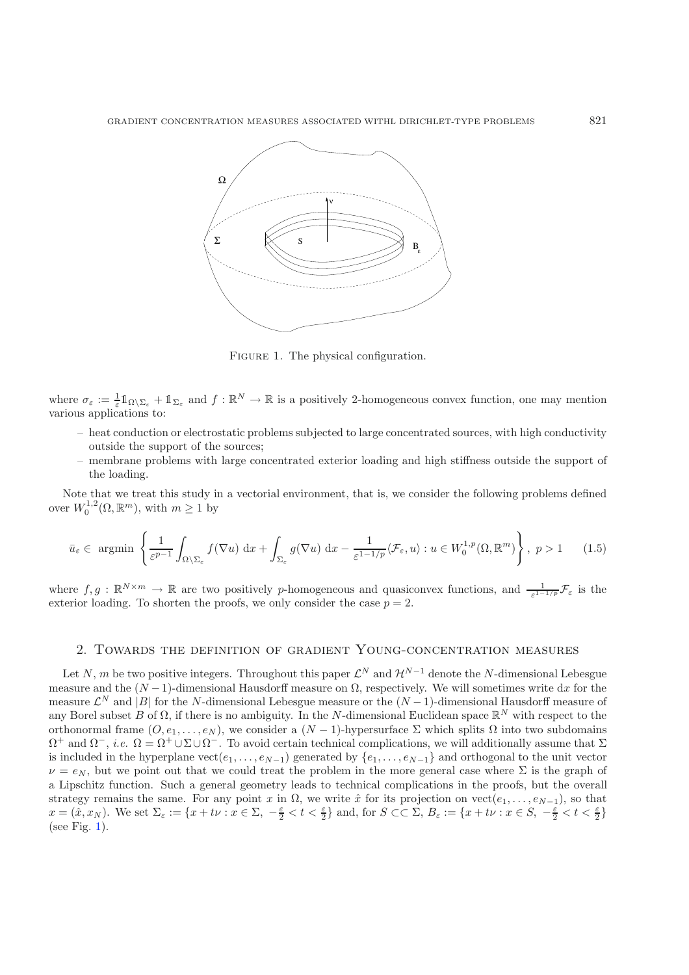<span id="page-3-1"></span>

FIGURE 1. The physical configuration.

<span id="page-3-0"></span>where  $\sigma_{\varepsilon} := \frac{1}{\varepsilon} 1\!\!1_{\Omega \setminus \Sigma_{\varepsilon}} + 1\!\!1_{\Sigma_{\varepsilon}}$  and  $f : \mathbb{R}^N \to \mathbb{R}$  is a positively 2-homogeneous convex function, one may mention various applications to:

- heat conduction or electrostatic problems subjected to large concentrated sources, with high conductivity outside the support of the sources;
- membrane problems with large concentrated exterior loading and high stiffness outside the support of the loading.

Note that we treat this study in a vectorial environment, that is, we consider the following problems defined over  $W_0^{1,2}(\Omega, \mathbb{R}^m)$ , with  $m \geq 1$  by

$$
\bar{u}_{\varepsilon} \in \text{argmin}\left\{ \frac{1}{\varepsilon^{p-1}} \int_{\Omega \setminus \Sigma_{\varepsilon}} f(\nabla u) \, \mathrm{d}x + \int_{\Sigma_{\varepsilon}} g(\nabla u) \, \mathrm{d}x - \frac{1}{\varepsilon^{1-1/p}} \langle \mathcal{F}_{\varepsilon}, u \rangle : u \in W_0^{1,p}(\Omega, \mathbb{R}^m) \right\}, \ p > 1 \qquad (1.5)
$$

where  $f,g : \mathbb{R}^{N \times m} \to \mathbb{R}$  are two positively p-homogeneous and quasiconvex functions, and  $\frac{1}{\varepsilon^{1-1/p}}\mathcal{F}_{\varepsilon}$  is the exterior loading. To shorten the proofs, we only consider the case  $p = 2$ .

## 2. Towards the definition of gradient Young-concentration measures

Let N, m be two positive integers. Throughout this paper  $\mathcal{L}^N$  and  $\mathcal{H}^{N-1}$  denote the N-dimensional Lebesgue measure and the  $(N-1)$ -dimensional Hausdorff measure on  $\Omega$ , respectively. We will sometimes write dx for the measure  $\mathcal{L}^N$  and |B| for the N-dimensional Lebesgue measure or the  $(N-1)$ -dimensional Hausdorff measure of any Borel subset B of  $\Omega$ , if there is no ambiguity. In the N-dimensional Euclidean space  $\mathbb{R}^N$  with respect to the orthonormal frame  $(O, e_1, \ldots, e_N)$ , we consider a  $(N-1)$ -hypersurface  $\Sigma$  which splits  $\Omega$  into two subdomains  $\Omega^+$  and  $\Omega^-$ , *i.e.*  $\Omega = \Omega^+ \cup \Sigma \cup \Omega^-$ . To avoid certain technical complications, we will additionally assume that  $\Sigma$ is included in the hyperplane  $vect(e_1,\ldots,e_{N-1})$  generated by  $\{e_1,\ldots,e_{N-1}\}\$  and orthogonal to the unit vector  $\nu = e_N$ , but we point out that we could treat the problem in the more general case where Σ is the graph of a Lipschitz function. Such a general geometry leads to technical complications in the proofs, but the overall strategy remains the same. For any point x in  $\Omega$ , we write  $\hat{x}$  for its projection on vect $(e_1,\ldots,e_{N-1})$ , so that  $x = (\hat{x}, x_N)$ . We set  $\Sigma_{\varepsilon} := \{x + t\nu : x \in \Sigma, -\frac{\varepsilon}{2} < t < \frac{\varepsilon}{2}\}$  and, for  $S \subset\subset \Sigma$ ,  $B_{\varepsilon} := \{x + t\nu : x \in S, -\frac{\varepsilon}{2} < t < \frac{\varepsilon}{2}\}$ (see Fig. [1\)](#page-3-1).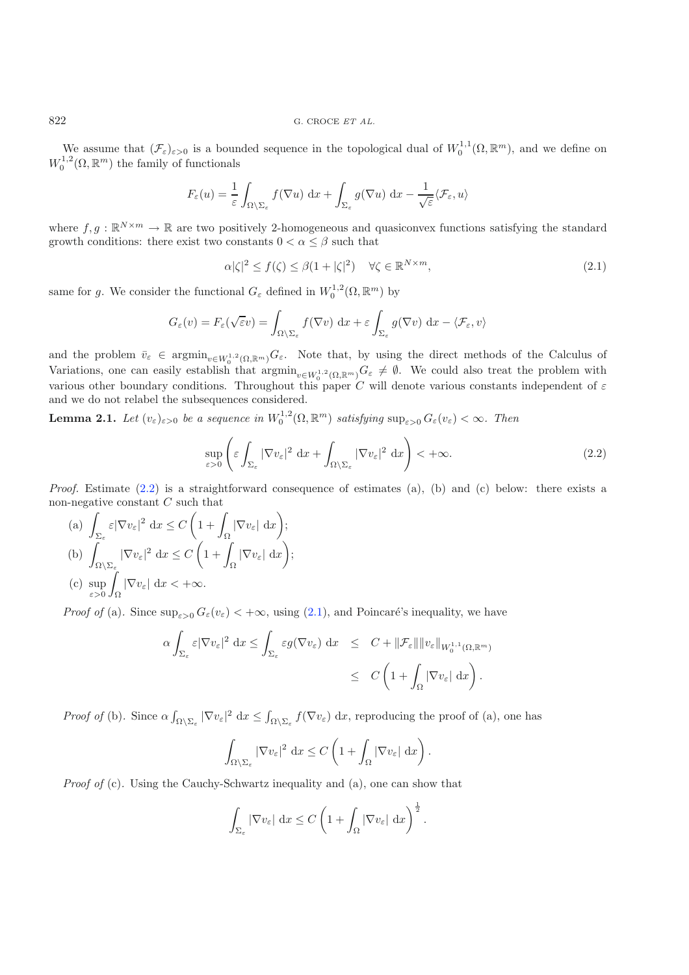#### 822 G. CROCE *ET AL.*

We assume that  $(\mathcal{F}_{\varepsilon})_{\varepsilon>0}$  is a bounded sequence in the topological dual of  $W_0^{1,1}(\Omega,\mathbb{R}^m)$ , and we define on  $W_0^{1,2}(\Omega,\mathbb{R}^m)$  the family of functionals

$$
F_{\varepsilon}(u) = \frac{1}{\varepsilon} \int_{\Omega \setminus \Sigma_{\varepsilon}} f(\nabla u) \, dx + \int_{\Sigma_{\varepsilon}} g(\nabla u) \, dx - \frac{1}{\sqrt{\varepsilon}} \langle \mathcal{F}_{\varepsilon}, u \rangle
$$

where  $f,g : \mathbb{R}^{N \times m} \to \mathbb{R}$  are two positively 2-homogeneous and quasiconvex functions satisfying the standard growth conditions: there exist two constants  $0 < \alpha \leq \beta$  such that

$$
\alpha|\zeta|^2 \le f(\zeta) \le \beta(1+|\zeta|^2) \quad \forall \zeta \in \mathbb{R}^{N \times m},\tag{2.1}
$$

same for g. We consider the functional  $G_{\varepsilon}$  defined in  $W_0^{1,2}(\Omega,\mathbb{R}^m)$  by

<span id="page-4-0"></span>
$$
G_{\varepsilon}(v) = F_{\varepsilon}(\sqrt{\varepsilon}v) = \int_{\Omega \setminus \Sigma_{\varepsilon}} f(\nabla v) \, dx + \varepsilon \int_{\Sigma_{\varepsilon}} g(\nabla v) \, dx - \langle \mathcal{F}_{\varepsilon}, v \rangle
$$

and the problem  $\bar{v}_{\varepsilon} \in \operatorname{argmin}_{v \in W_0^{1,2}(\Omega,\mathbb{R}^m)} G_{\varepsilon}$ . Note that, by using the direct methods of the Calculus of Variations, one can easily establish that  $\operatorname{argmin}_{v \in W_0^{1,2}(\Omega,\mathbb{R}^m)} G_{\varepsilon} \neq \emptyset$ . We could also treat the problem with various other boundary conditions. Throughout this paper C will denote various constants independent of  $\varepsilon$ and we do not relabel the subsequences considered.

<span id="page-4-2"></span>**Lemma 2.1.** Let  $(v_{\varepsilon})_{\varepsilon>0}$  be a sequence in  $W_0^{1,2}(\Omega, \mathbb{R}^m)$  satisfying  $\sup_{\varepsilon>0} G_{\varepsilon}(v_{\varepsilon}) < \infty$ . Then

$$
\sup_{\varepsilon>0} \left( \varepsilon \int_{\Sigma_{\varepsilon}} |\nabla v_{\varepsilon}|^2 dx + \int_{\Omega \setminus \Sigma_{\varepsilon}} |\nabla v_{\varepsilon}|^2 dx \right) < +\infty.
$$
 (2.2)

*Proof.* Estimate [\(2.2\)](#page-4-0) is a straightforward consequence of estimates (a), (b) and (c) below: there exists a non-negative constant  $C$  such that

(a) 
$$
\int_{\Sigma_{\varepsilon}} \varepsilon |\nabla v_{\varepsilon}|^2 dx \le C \left( 1 + \int_{\Omega} |\nabla v_{\varepsilon}| dx \right);
$$
  
\n(b)  $\int_{\Omega \setminus \Sigma_{\varepsilon}} |\nabla v_{\varepsilon}|^2 dx \le C \left( 1 + \int_{\Omega} |\nabla v_{\varepsilon}| dx \right);$   
\n(c)  $\sup_{\varepsilon > 0} \int_{\Omega} |\nabla v_{\varepsilon}| dx < +\infty.$ 

*Proof of* (a). Since  $\sup_{\varepsilon>0} G_{\varepsilon}(v_{\varepsilon}) < +\infty$ , using [\(2.1\)](#page-4-1), and Poincaré's inequality, we have

$$
\alpha \int_{\Sigma_{\varepsilon}} \varepsilon |\nabla v_{\varepsilon}|^2 dx \leq \int_{\Sigma_{\varepsilon}} \varepsilon g(\nabla v_{\varepsilon}) dx \leq C + ||\mathcal{F}_{\varepsilon}|| ||v_{\varepsilon}||_{W_0^{1,1}(\Omega,\mathbb{R}^m)}
$$
  

$$
\leq C \left(1 + \int_{\Omega} |\nabla v_{\varepsilon}| dx\right).
$$

*Proof of* (b). Since  $\alpha \int_{\Omega \setminus \Sigma_{\varepsilon}} |\nabla v_{\varepsilon}|^2 dx \leq \int_{\Omega \setminus \Sigma_{\varepsilon}} f(\nabla v_{\varepsilon}) dx$ , reproducing the proof of (a), one has

$$
\int_{\Omega\setminus\Sigma_{\varepsilon}}|\nabla v_{\varepsilon}|^2 dx \leq C\left(1+\int_{\Omega}|\nabla v_{\varepsilon}| dx\right).
$$

*Proof of* (c). Using the Cauchy-Schwartz inequality and (a), one can show that

$$
\int_{\Sigma_{\varepsilon}} |\nabla v_{\varepsilon}| \, dx \leq C \left( 1 + \int_{\Omega} |\nabla v_{\varepsilon}| \, dx \right)^{\frac{1}{2}}.
$$

<span id="page-4-1"></span>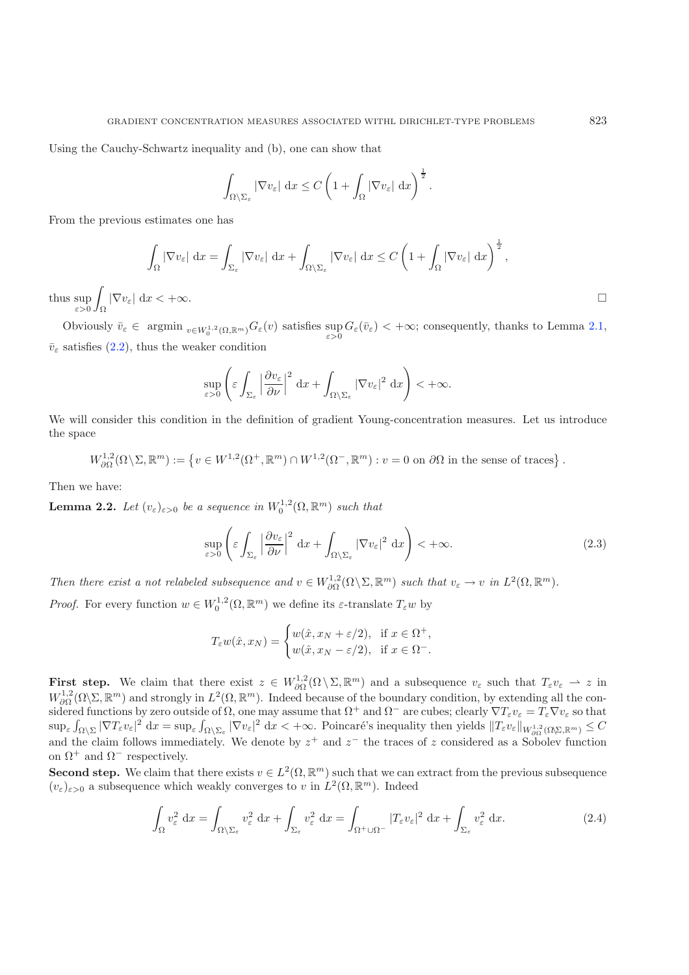Using the Cauchy-Schwartz inequality and (b), one can show that

$$
\int_{\Omega\setminus\Sigma_{\varepsilon}}|\nabla v_{\varepsilon}| dx \leq C\left(1+\int_{\Omega}|\nabla v_{\varepsilon}| dx\right)^{\frac{1}{2}}.
$$

From the previous estimates one has

$$
\int_{\Omega} |\nabla v_{\varepsilon}| \, \mathrm{d}x = \int_{\Sigma_{\varepsilon}} |\nabla v_{\varepsilon}| \, \mathrm{d}x + \int_{\Omega \setminus \Sigma_{\varepsilon}} |\nabla v_{\varepsilon}| \, \mathrm{d}x \leq C \left( 1 + \int_{\Omega} |\nabla v_{\varepsilon}| \, \mathrm{d}x \right)^{\frac{1}{2}},
$$

thus  $\sup_{\varepsilon>0}$  $\overline{\phantom{a}}$  $\int_{\Omega} |\nabla v_{\varepsilon}| \, \mathrm{d}x < +\infty.$ 

<span id="page-5-0"></span>Obviously  $\bar{v}_{\varepsilon} \in \operatorname{argmin}_{v \in W_0^{1,2}(\Omega,\mathbb{R}^m)} G_{\varepsilon}(v)$  satisfies  $\sup_{\varepsilon > 0} G_{\varepsilon}(\bar{v}_{\varepsilon}) < +\infty$ ; consequently, thanks to Lemma [2.1,](#page-4-2)  $\bar{v}_{\varepsilon}$  satisfies [\(2.2\)](#page-4-0), thus the weaker condition

$$
\sup_{\varepsilon>0}\left(\varepsilon\int_{\Sigma_{\varepsilon}}\left|\frac{\partial v_{\varepsilon}}{\partial\nu}\right|^2\,\mathrm{d}x+\int_{\Omega\setminus\Sigma_{\varepsilon}}|\nabla v_{\varepsilon}|^2\,\mathrm{d}x\right)<+\infty.
$$

We will consider this condition in the definition of gradient Young-concentration measures. Let us introduce the space

$$
W^{1,2}_{\partial\Omega}(\Omega\setminus\Sigma,\mathbb{R}^m):=\left\{v\in W^{1,2}(\Omega^+,\mathbb{R}^m)\cap W^{1,2}(\Omega^-,\mathbb{R}^m):v=0\text{ on }\partial\Omega\text{ in the sense of traces}\right\}.
$$

<span id="page-5-2"></span>Then we have:

**Lemma 2.2.** Let  $(v_{\varepsilon})_{\varepsilon>0}$  be a sequence in  $W_0^{1,2}(\Omega,\mathbb{R}^m)$  such that

$$
\sup_{\varepsilon>0} \left( \varepsilon \int_{\Sigma_{\varepsilon}} \left| \frac{\partial v_{\varepsilon}}{\partial \nu} \right|^2 dx + \int_{\Omega \setminus \Sigma_{\varepsilon}} |\nabla v_{\varepsilon}|^2 dx \right) < +\infty.
$$
 (2.3)

Then there exist a not relabeled subsequence and  $v \in W^{1,2}_{\partial \Omega}(\Omega \setminus \Sigma, \mathbb{R}^m)$  such that  $v_{\varepsilon} \to v$  in  $L^2(\Omega, \mathbb{R}^m)$ .

*Proof.* For every function  $w \in W_0^{1,2}(\Omega, \mathbb{R}^m)$  we define its  $\varepsilon$ -translate  $T_\varepsilon w$  by

$$
T_{\varepsilon}w(\hat{x},x_N) = \begin{cases} w(\hat{x},x_N + \varepsilon/2), & \text{if } x \in \Omega^+, \\ w(\hat{x},x_N - \varepsilon/2), & \text{if } x \in \Omega^-. \end{cases}
$$

<span id="page-5-1"></span>**First step.** We claim that there exist  $z \in W^{1,2}_{\partial\Omega}(\Omega \setminus \Sigma, \mathbb{R}^m)$  and a subsequence  $v_{\varepsilon}$  such that  $T_{\varepsilon}v_{\varepsilon} \to z$  in  $W^{1,2}_{\partial\Omega}(\Omega\backslash\Sigma,\mathbb{R}^m)$  and strongly in  $L^2(\Omega,\mathbb{R}^m)$ . Indeed because of the boundary condition, by extending all the considered functions by zero outside of  $\Omega$ , one may assume that  $\Omega^+$  and  $\Omega^-$  are cubes; clearly  $\nabla T_{\varepsilon}v_{\varepsilon} = T_{\varepsilon}\nabla v_{\varepsilon}$  so that  $\sup_{\varepsilon} \int_{\Omega \setminus \Sigma} |\nabla T_{\varepsilon} v_{\varepsilon}|^2 dx = \sup_{\varepsilon} \int_{\Omega \setminus \Sigma_{\varepsilon}} |\nabla v_{\varepsilon}|^2 dx < +\infty$ . Poincaré's inequality then yields  $||T_{\varepsilon} v_{\varepsilon}||_{W_{\partial\Omega}^{1,2}(\Omega \setminus \Sigma, \mathbb{R}^m)} \leq C$ and the claim follows immediately. We denote by  $z^+$  and  $z^-$  the traces of z considered as a Sobolev function on  $\Omega^+$  and  $\Omega^-$  respectively.

**Second step.** We claim that there exists  $v \in L^2(\Omega, \mathbb{R}^m)$  such that we can extract from the previous subsequence  $(v_{\varepsilon})_{\varepsilon>0}$  a subsequence which weakly converges to v in  $L^2(\Omega,\mathbb{R}^m)$ . Indeed

$$
\int_{\Omega} v_{\varepsilon}^{2} dx = \int_{\Omega \setminus \Sigma_{\varepsilon}} v_{\varepsilon}^{2} dx + \int_{\Sigma_{\varepsilon}} v_{\varepsilon}^{2} dx = \int_{\Omega^{+} \cup \Omega^{-}} |T_{\varepsilon} v_{\varepsilon}|^{2} dx + \int_{\Sigma_{\varepsilon}} v_{\varepsilon}^{2} dx.
$$
\n(2.4)

 $\Box$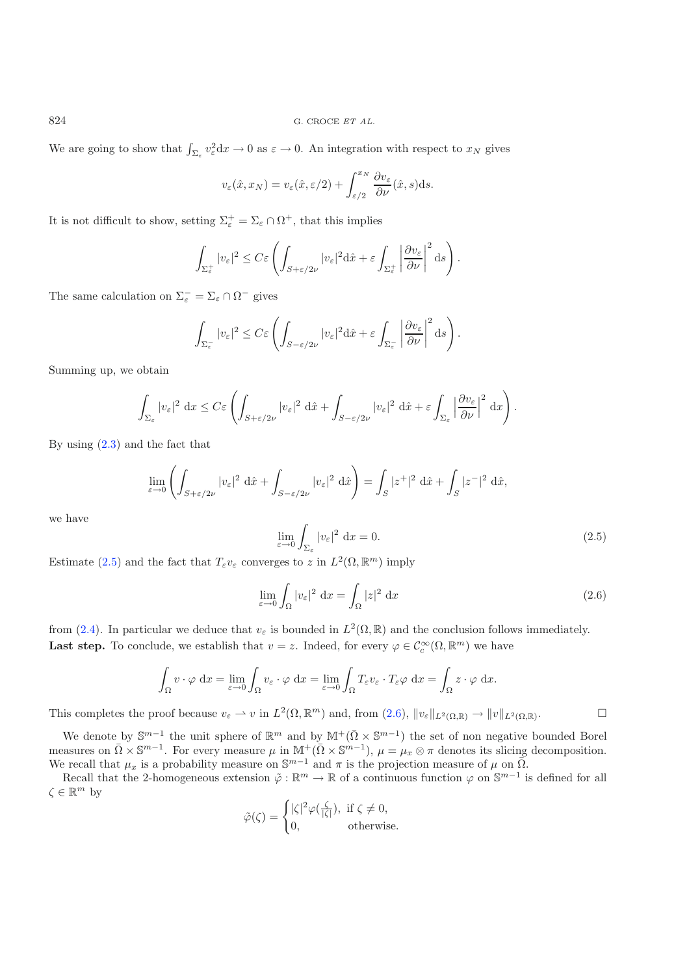We are going to show that  $\int_{\Sigma_{\varepsilon}} v_{\varepsilon}^2 dx \to 0$  as  $\varepsilon \to 0$ . An integration with respect to  $x_N$  gives

$$
v_{\varepsilon}(\hat{x},x_N) = v_{\varepsilon}(\hat{x},\varepsilon/2) + \int_{\varepsilon/2}^{x_N} \frac{\partial v_{\varepsilon}}{\partial \nu}(\hat{x},s) \mathrm{d}s.
$$

It is not difficult to show, setting  $\Sigma_{\varepsilon}^{+} = \Sigma_{\varepsilon} \cap \Omega^{+}$ , that this implies

$$
\int_{\Sigma_{\varepsilon}^+} |v_{\varepsilon}|^2 \leq C\varepsilon \left( \int_{S+\varepsilon/2\nu} |v_{\varepsilon}|^2 \mathrm{d}\hat{x} + \varepsilon \int_{\Sigma_{\varepsilon}^+} \left| \frac{\partial v_{\varepsilon}}{\partial \nu} \right|^2 \mathrm{d}s \right).
$$

The same calculation on  $\Sigma_{\varepsilon}^- = \Sigma_{\varepsilon} \cap \Omega^-$  gives

<span id="page-6-0"></span>
$$
\int_{\Sigma_{\varepsilon}^-} |v_{\varepsilon}|^2 \leq C\varepsilon \left( \int_{S-\varepsilon/2\nu} |v_{\varepsilon}|^2 \mathrm{d}\hat{x} + \varepsilon \int_{\Sigma_{\varepsilon}^-} \left| \frac{\partial v_{\varepsilon}}{\partial \nu} \right|^2 \mathrm{d}s \right).
$$

Summing up, we obtain

<span id="page-6-1"></span>
$$
\int_{\Sigma_{\varepsilon}} |v_{\varepsilon}|^2 dx \leq C\varepsilon \left( \int_{S+\varepsilon/2\nu} |v_{\varepsilon}|^2 d\hat{x} + \int_{S-\varepsilon/2\nu} |v_{\varepsilon}|^2 d\hat{x} + \varepsilon \int_{\Sigma_{\varepsilon}} \left| \frac{\partial v_{\varepsilon}}{\partial \nu} \right|^2 dx \right).
$$

By using [\(2.3\)](#page-5-0) and the fact that

$$
\lim_{\varepsilon \to 0} \left( \int_{S + \varepsilon/2\nu} |v_{\varepsilon}|^2 \, \mathrm{d}\hat{x} + \int_{S - \varepsilon/2\nu} |v_{\varepsilon}|^2 \, \mathrm{d}\hat{x} \right) = \int_S |z^+|^2 \, \mathrm{d}\hat{x} + \int_S |z^-|^2 \, \mathrm{d}\hat{x},
$$

we have

$$
\lim_{\varepsilon \to 0} \int_{\Sigma_{\varepsilon}} |v_{\varepsilon}|^2 dx = 0. \tag{2.5}
$$

Estimate [\(2.5\)](#page-6-0) and the fact that  $T_{\varepsilon}v_{\varepsilon}$  converges to z in  $L^2(\Omega,\mathbb{R}^m)$  imply

$$
\lim_{\varepsilon \to 0} \int_{\Omega} |v_{\varepsilon}|^2 dx = \int_{\Omega} |z|^2 dx \tag{2.6}
$$

from [\(2.4\)](#page-5-1). In particular we deduce that  $v_{\varepsilon}$  is bounded in  $L^2(\Omega,\mathbb{R})$  and the conclusion follows immediately. **Last step.** To conclude, we establish that  $v = z$ . Indeed, for every  $\varphi \in C_c^{\infty}(\Omega, \mathbb{R}^m)$  we have

$$
\int_{\Omega} v \cdot \varphi \, dx = \lim_{\varepsilon \to 0} \int_{\Omega} v_{\varepsilon} \cdot \varphi \, dx = \lim_{\varepsilon \to 0} \int_{\Omega} T_{\varepsilon} v_{\varepsilon} \cdot T_{\varepsilon} \varphi \, dx = \int_{\Omega} z \cdot \varphi \, dx.
$$

This completes the proof because  $v_{\varepsilon} \to v$  in  $L^2(\Omega, \mathbb{R}^m)$  and, from  $(2.6)$ ,  $||v_{\varepsilon}||_{L^2(\Omega, \mathbb{R})} \to ||v||_{L^2(\Omega, \mathbb{R})}$ .  $\Box$ 

We denote by  $\mathbb{S}^{m-1}$  the unit sphere of  $\mathbb{R}^m$  and by  $\mathbb{M}^+(\bar{\Omega} \times \mathbb{S}^{m-1})$  the set of non negative bounded Borel measures on  $\overline{\Omega} \times \mathbb{S}^{m-1}$ . For every measure  $\mu$  in  $\mathbb{M}^+(\overline{\Omega} \times \mathbb{S}^{m-1})$ ,  $\mu = \mu_x \otimes \pi$  denotes its slicing decomposition. We recall that  $\mu_x$  is a probability measure on  $\mathbb{S}^{m-1}$  and  $\pi$  is the projection measure of  $\mu$  on  $\overline{\Omega}$ .

Recall that the 2-homogeneous extension  $\tilde{\varphi} : \mathbb{R}^m \to \mathbb{R}$  of a continuous function  $\varphi$  on  $\mathbb{S}^{m-1}$  is defined for all  $\zeta \in \mathbb{R}^m$  by

$$
\tilde{\varphi}(\zeta) = \begin{cases} |\zeta|^2 \varphi(\frac{\zeta}{|\zeta|}), & \text{if } \zeta \neq 0, \\ 0, & \text{otherwise.} \end{cases}
$$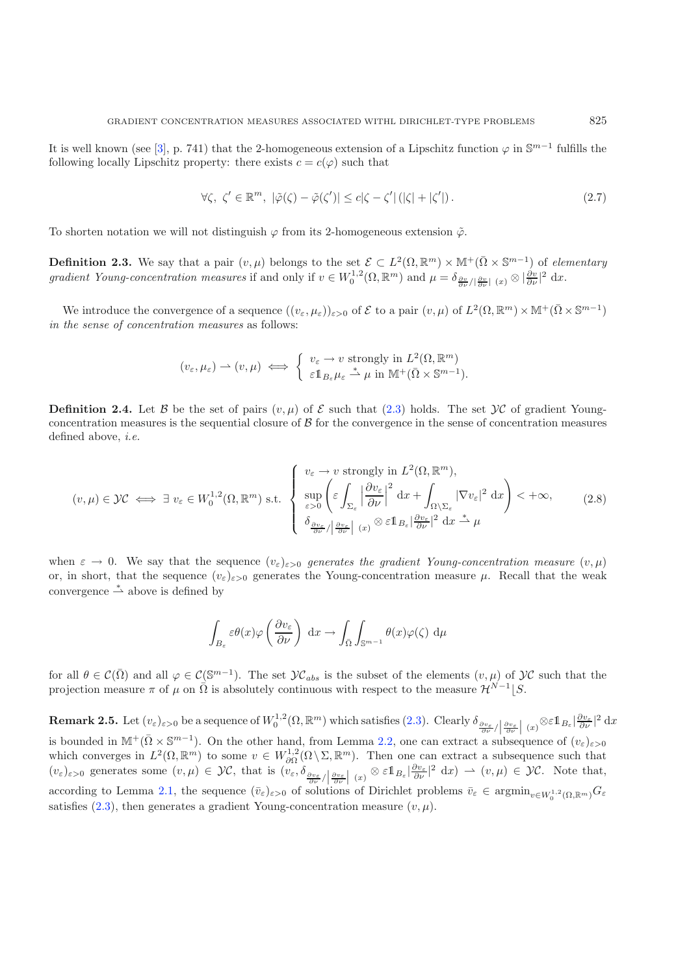<span id="page-7-0"></span>It is well known (see [\[3\]](#page-20-0), p. 741) that the 2-homogeneous extension of a Lipschitz function  $\varphi$  in  $\mathbb{S}^{m-1}$  fulfills the following locally Lipschitz property: there exists  $c = c(\varphi)$  such that

$$
\forall \zeta, \ \zeta' \in \mathbb{R}^m, \ |\tilde{\varphi}(\zeta) - \tilde{\varphi}(\zeta')| \le c|\zeta - \zeta'| \ (|\zeta| + |\zeta'|).
$$
\n(2.7)

To shorten notation we will not distinguish  $\varphi$  from its 2-homogeneous extension  $\tilde{\varphi}$ .

**Definition 2.3.** We say that a pair  $(v, \mu)$  belongs to the set  $\mathcal{E} \subset L^2(\Omega, \mathbb{R}^m) \times \mathbb{M}^+(\overline{\Omega} \times \mathbb{S}^{m-1})$  of *elementary gradient Young-concentration measures* if and only if  $v \in W_0^{1,2}(\Omega, \mathbb{R}^m)$  and  $\mu = \delta_{\frac{\partial v}{\partial \nu}/|\frac{\partial v}{\partial \nu}|}(x) \otimes |\frac{\partial v}{\partial \nu}|^2 dx$ .

We introduce the convergence of a sequence  $((v_{\varepsilon}, \mu_{\varepsilon}))_{\varepsilon > 0}$  of  $\mathcal E$  to a pair  $(v, \mu)$  of  $L^2(\Omega, \mathbb R^m) \times \mathbb M^+(\overline{\Omega} \times \mathbb S^{m-1})$ *in the sense of concentration measures* as follows:

$$
(v_{\varepsilon}, \mu_{\varepsilon}) \rightharpoonup (v, \mu) \iff \begin{cases} v_{\varepsilon} \to v \text{ strongly in } L^2(\Omega, \mathbb{R}^m) \\ \varepsilon 1_{B_{\varepsilon}} \mu_{\varepsilon} \stackrel{*}{\rightharpoonup} \mu \text{ in } \mathbb{M}^+(\overline{\Omega} \times \mathbb{S}^{m-1}). \end{cases}
$$

**Definition 2.4.** Let B be the set of pairs  $(v, \mu)$  of E such that [\(2.3\)](#page-5-0) holds. The set  $\mathcal{VC}$  of gradient Youngconcentration measures is the sequential closure of  $\beta$  for the convergence in the sense of concentration measures defined above, *i.e.*

$$
(v,\mu) \in \mathcal{VC} \iff \exists \ v_{\varepsilon} \in W_0^{1,2}(\Omega, \mathbb{R}^m) \text{ s.t. } \begin{cases} \ v_{\varepsilon} \to v \text{ strongly in } L^2(\Omega, \mathbb{R}^m), \\ \sup_{\varepsilon > 0} \left( \varepsilon \int_{\Sigma_{\varepsilon}} \left| \frac{\partial v_{\varepsilon}}{\partial \nu} \right|^2 dx + \int_{\Omega \setminus \Sigma_{\varepsilon}} |\nabla v_{\varepsilon}|^2 dx \right) < +\infty, \\ \delta_{\frac{\partial v_{\varepsilon}}{\partial \nu} / \left| \frac{\partial v_{\varepsilon}}{\partial \nu} \right|} \left( x \right) \otimes \varepsilon \mathbb{1}_{B_{\varepsilon}} \left| \frac{\partial v_{\varepsilon}}{\partial \nu} \right|^2 dx \xrightarrow{\ast} \mu \end{cases} \tag{2.8}
$$

when  $\varepsilon \to 0$ . We say that the sequence  $(v_{\varepsilon})_{\varepsilon>0}$  generates the gradient Young-concentration measure  $(v,\mu)$ or, in short, that the sequence  $(v_{\varepsilon})_{\varepsilon>0}$  generates the Young-concentration measure  $\mu$ . Recall that the weak convergence  $\stackrel{*}{\rightharpoonup}$  above is defined by

$$
\int_{B_{\varepsilon}} \varepsilon \theta(x) \varphi\left(\frac{\partial v_{\varepsilon}}{\partial \nu}\right) dx \to \int_{\bar{\Omega}} \int_{\mathbb{S}^{m-1}} \theta(x) \varphi(\zeta) d\mu
$$

for all  $\theta \in \mathcal{C}(\overline{\Omega})$  and all  $\varphi \in \mathcal{C}(\mathbb{S}^{m-1})$ . The set  $\mathcal{YC}_{abs}$  is the subset of the elements  $(v, \mu)$  of  $\mathcal{YC}$  such that the projection measure  $\pi$  of  $\mu$  on  $\overline{\Omega}$  is absolutely continuous with respect to the measure  $\mathcal{H}^{\overline{N}-1}|S$ .

**Remark 2.5.** Let  $(v_{\varepsilon})_{\varepsilon>0}$  be a sequence of  $W_0^{1,2}(\Omega,\mathbb{R}^m)$  which satisfies  $(2.3)$ . Clearly  $\delta_{\frac{\partial v_{\varepsilon}}{\partial \nu}}/\left|\frac{\partial v_{\varepsilon}}{\partial \nu}\right| (x)^{\otimes \varepsilon} \mathbb{1}_{B_{\varepsilon}} |\frac{\partial v_{\varepsilon}}{\partial \nu}|^2 dx$ is bounded in  $\mathbb{M}^+(\bar{\Omega}\times\mathbb{S}^{m-1})$ . On the other hand, from Lemma [2.2,](#page-5-2) one can extract a subsequence of  $(v_{\varepsilon})_{\varepsilon>0}$ which converges in  $L^2(\Omega, \mathbb{R}^m)$  to some  $v \in W^{1,2}_{\partial\Omega}(\Omega \setminus \Sigma, \mathbb{R}^m)$ . Then one can extract a subsequence such that  $(v_{\varepsilon})_{\varepsilon>0}$  generates some  $(v,\mu) \in \mathcal{Y}\mathcal{C}$ , that is  $(v_{\varepsilon}, \delta_{\frac{\partial v_{\varepsilon}}{\partial \nu}} \big|_{\frac{\partial v_{\varepsilon}}{\partial \nu}} \big|_{(x)} \otimes \varepsilon 1_{B_{\varepsilon}} \big|_{\frac{\partial v_{\varepsilon}}{\partial \nu}} \big|^{2} dx$   $\to (v,\mu) \in \mathcal{Y}\mathcal{C}$ . Note that, according to Lemma [2.1,](#page-4-2) the sequence  $(\bar{v}_{\varepsilon})_{\varepsilon>0}$  of solutions of Dirichlet problems  $\bar{v}_{\varepsilon} \in \operatorname{argmin}_{v \in W_0^{1,2}(\Omega,\mathbb{R}^m)} G_{\varepsilon}$ satisfies [\(2.3\)](#page-5-0), then generates a gradient Young-concentration measure  $(v, \mu)$ .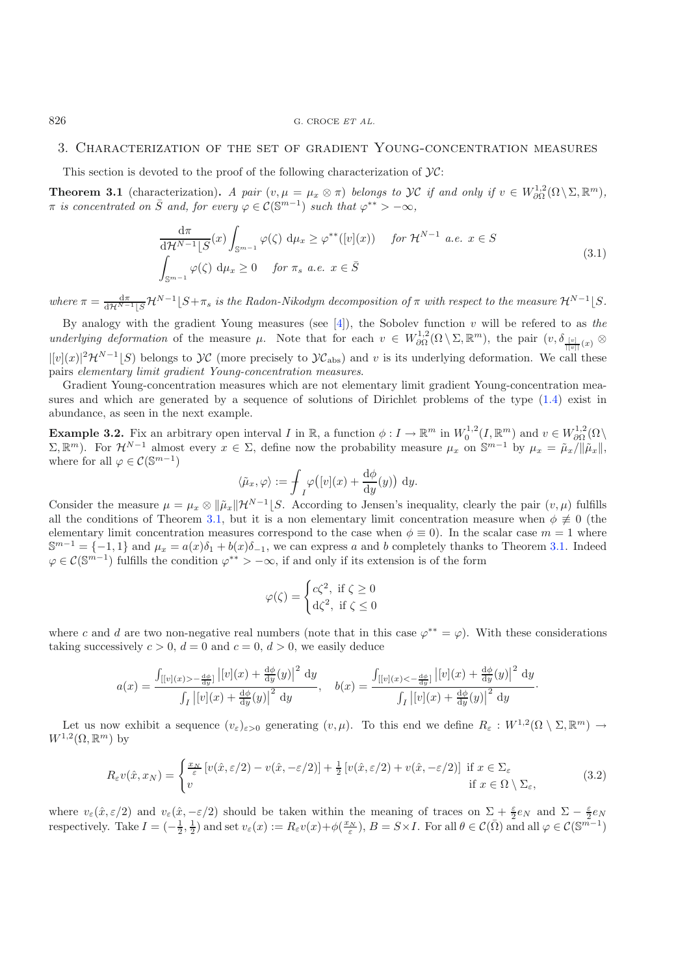#### 3. Characterization of the set of gradient Young-concentration measures

This section is devoted to the proof of the following characterization of  $\mathcal{Y}$ C:

<span id="page-8-0"></span>**Theorem 3.1** (characterization). *A pair*  $(v, \mu = \mu_x \otimes \pi)$  *belongs to*  $\mathcal{YC}$  *if and only if*  $v \in W^{1,2}_{\partial\Omega}(\Omega \setminus \Sigma, \mathbb{R}^m)$ ,  $\pi$  *is concentrated on*  $\overline{S}$  *and, for every*  $\varphi \in C(\mathbb{S}^{m-1})$  *such that*  $\varphi^{**} > -\infty$ *,* 

$$
\frac{d\pi}{d\mathcal{H}^{N-1}[S}(x)\int_{\mathbb{S}^{m-1}}\varphi(\zeta)\ d\mu_x \geq \varphi^{**}([v](x)) \quad \text{for } \mathcal{H}^{N-1}\ a.e.\ x \in S
$$
\n
$$
\int_{\mathbb{S}^{m-1}}\varphi(\zeta)\ d\mu_x \geq 0 \quad \text{for } \pi_s\ a.e.\ x \in \bar{S}
$$
\n(3.1)

where  $\pi = \frac{d\pi}{d\mathcal{H}^{N-1}[S]} \mathcal{H}^{N-1}[S+\pi_s]$  *is the Radon-Nikodym decomposition of*  $\pi$  *with respect to the measure*  $\mathcal{H}^{N-1}[S]$ .

By analogy with the gradient Young measures (see [\[4\]](#page-20-1)), the Sobolev function v will be refered to as *the underlying deformation* of the measure  $\mu$ . Note that for each  $v \in W^{1,2}_{\partial\Omega}(\Omega \setminus \Sigma, \mathbb{R}^m)$ , the pair  $(v, \delta_{\frac{[v]}{[[v]]}(x)} \otimes$  $|[v](x)|^2\mathcal{H}^{N-1}[S]$  belongs to  $\mathcal{YC}$  (more precisely to  $\mathcal{YC}_{\text{abs}}$ ) and v is its underlying deformation. We call these pairs *elementary limit gradient Young-concentration measures*.

Gradient Young-concentration measures which are not elementary limit gradient Young-concentration measures and which are generated by a sequence of solutions of Dirichlet problems of the type [\(1.4\)](#page-2-1) exist in abundance, as seen in the next example.

<span id="page-8-3"></span>**Example 3.2.** Fix an arbitrary open interval I in R, a function  $\phi: I \to \mathbb{R}^m$  in  $W_0^{1,2}(I, \mathbb{R}^m)$  and  $v \in W_{\partial\Omega}^{1,2}(\Omega)$  $(\Sigma, \mathbb{R}^m)$ . For  $\mathcal{H}^{N-1}$  almost every  $x \in \Sigma$ , define now the probability measure  $\mu_x$  on  $\mathbb{S}^{m-1}$  by  $\mu_x = \tilde{\mu}_x/||\tilde{\mu}_x||$ , where for all  $\varphi \in \mathcal{C}(\mathbb{S}^{m-1})$ 

$$
\langle \tilde{\mu}_x, \varphi \rangle := \int_I \varphi([v](x) + \frac{d\phi}{dy}(y)) dy.
$$

Consider the measure  $\mu = \mu_x \otimes \|\tilde{\mu}_x\| \mathcal{H}^{N-1} \llbracket S$ . According to Jensen's inequality, clearly the pair  $(v, \mu)$  fulfills all the conditions of Theorem [3.1,](#page-8-0) but it is a non elementary limit concentration measure when  $\phi \neq 0$  (the elementary limit concentration measures correspond to the case when  $\phi \equiv 0$ ). In the scalar case  $m = 1$  where  $\mathbb{S}^{m-1} = \{-1,1\}$  and  $\mu_x = a(x)\delta_1 + b(x)\delta_{-1}$ , we can express a and b completely thanks to Theorem [3.1.](#page-8-0) Indeed  $\varphi \in \mathcal{C}(\mathbb{S}^{m-1})$  fulfills the condition  $\varphi^{**} > -\infty$ , if and only if its extension is of the form

$$
\varphi(\zeta) = \begin{cases} c\zeta^2, & \text{if } \zeta \ge 0 \\ d\zeta^2, & \text{if } \zeta \le 0 \end{cases}
$$

<span id="page-8-2"></span>where c and d are two non-negative real numbers (note that in this case  $\varphi^{**} = \varphi$ ). With these considerations taking successively  $c > 0$ ,  $d = 0$  and  $c = 0$ ,  $d > 0$ , we easily deduce

$$
a(x) = \frac{\int_{[[v](x) > -\frac{d\phi}{dy}]} |[v](x) + \frac{d\phi}{dy}(y)|^2 dy}{\int_I |[v](x) + \frac{d\phi}{dy}(y)|^2 dy}, \quad b(x) = \frac{\int_{[[v](x) < -\frac{d\phi}{dy}]} |[v](x) + \frac{d\phi}{dy}(y)|^2 dy}{\int_I |[v](x) + \frac{d\phi}{dy}(y)|^2 dy}.
$$

Let us now exhibit a sequence  $(v_{\varepsilon})_{\varepsilon>0}$  generating  $(v,\mu)$ . To this end we define  $R_{\varepsilon}: W^{1,2}(\Omega \setminus \Sigma, \mathbb{R}^m) \to$  $W^{1,2}(\Omega,\mathbb{R}^m)$  by

$$
R_{\varepsilon}v(\hat{x},x_N) = \begin{cases} \frac{x_N}{\varepsilon} \left[ v(\hat{x}, \varepsilon/2) - v(\hat{x}, -\varepsilon/2) \right] + \frac{1}{2} \left[ v(\hat{x}, \varepsilon/2) + v(\hat{x}, -\varepsilon/2) \right] & \text{if } x \in \Sigma_{\varepsilon} \\ v & \text{if } x \in \Omega \setminus \Sigma_{\varepsilon}, \end{cases}
$$
(3.2)

where  $v_{\varepsilon}(\hat{x}, \varepsilon/2)$  and  $v_{\varepsilon}(\hat{x}, -\varepsilon/2)$  should be taken within the meaning of traces on  $\Sigma + \frac{\varepsilon}{2}e_N$  and  $\Sigma - \frac{\varepsilon}{2}e_N$ respectively. Take  $I = \left(-\frac{1}{2}, \frac{1}{2}\right)$  and set  $v_{\varepsilon}(x) := R_{\varepsilon}v(x) + \phi(\frac{x_N}{\varepsilon}), B = S \times I$ . For all  $\theta \in \mathcal{C}(\overline{\Omega})$  and all  $\varphi \in \mathcal{C}(\mathbb{S}^{m-1})$ 

<span id="page-8-1"></span>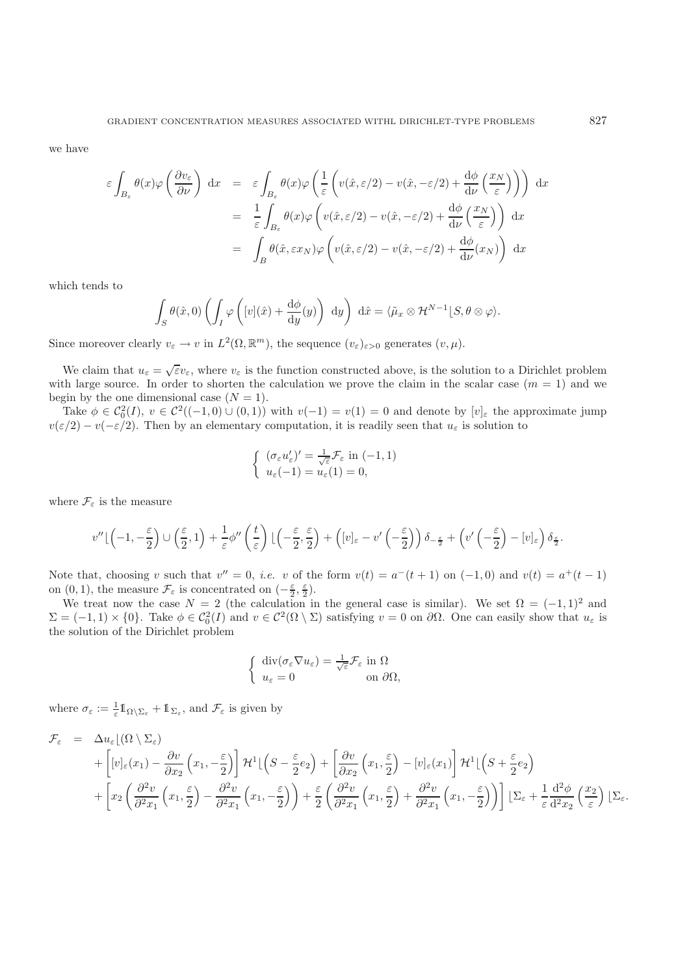we have

$$
\varepsilon \int_{B_{\varepsilon}} \theta(x) \varphi\left(\frac{\partial v_{\varepsilon}}{\partial \nu}\right) dx = \varepsilon \int_{B_{\varepsilon}} \theta(x) \varphi\left(\frac{1}{\varepsilon} \left(v(\hat{x}, \varepsilon/2) - v(\hat{x}, -\varepsilon/2) + \frac{d\phi}{d\nu} \left(\frac{x_N}{\varepsilon}\right)\right)\right) dx
$$
  
\n
$$
= \frac{1}{\varepsilon} \int_{B_{\varepsilon}} \theta(x) \varphi\left(v(\hat{x}, \varepsilon/2) - v(\hat{x}, -\varepsilon/2) + \frac{d\phi}{d\nu} \left(\frac{x_N}{\varepsilon}\right)\right) dx
$$
  
\n
$$
= \int_{B} \theta(\hat{x}, \varepsilon x_N) \varphi\left(v(\hat{x}, \varepsilon/2) - v(\hat{x}, -\varepsilon/2) + \frac{d\phi}{d\nu}(x_N)\right) dx
$$

which tends to

$$
\int_{S} \theta(\hat{x}, 0) \left( \int_{I} \varphi \left( [v](\hat{x}) + \frac{d\phi}{dy}(y) \right) dy \right) d\hat{x} = \langle \tilde{\mu}_x \otimes \mathcal{H}^{N-1} | S, \theta \otimes \varphi \rangle.
$$

Since moreover clearly  $v_{\varepsilon} \to v$  in  $L^2(\Omega, \mathbb{R}^m)$ , the sequence  $(v_{\varepsilon})_{\varepsilon > 0}$  generates  $(v, \mu)$ .

We claim that  $u_{\varepsilon} = \sqrt{\varepsilon}v_{\varepsilon}$ , where  $v_{\varepsilon}$  is the function constructed above, is the solution to a Dirichlet problem with large source. In order to shorten the calculation we prove the claim in the scalar case  $(m = 1)$  and we begin by the one dimensional case  $(N = 1)$ .

Take  $\phi \in C_0^2(I), v \in C^2((-1,0) \cup (0,1))$  with  $v(-1) = v(1) = 0$  and denote by  $[v]_{\varepsilon}$  the approximate jump  $v(\varepsilon/2) - v(-\varepsilon/2)$ . Then by an elementary computation, it is readily seen that  $u_{\varepsilon}$  is solution to

$$
\begin{cases} (\sigma_{\varepsilon} u_{\varepsilon}')' = \frac{1}{\sqrt{\varepsilon}} \mathcal{F}_{\varepsilon} \text{ in } (-1, 1) \\ u_{\varepsilon}(-1) = u_{\varepsilon}(1) = 0, \end{cases}
$$

where  $\mathcal{F}_{\varepsilon}$  is the measure

$$
v''\lfloor(-1,-\frac{\varepsilon}{2})\cup\left(\frac{\varepsilon}{2},1\right)+\frac{1}{\varepsilon}\phi''\left(\frac{t}{\varepsilon}\right)\lfloor\left(-\frac{\varepsilon}{2},\frac{\varepsilon}{2}\right)+\left([v]_{\varepsilon}-v'\left(-\frac{\varepsilon}{2}\right)\right)\delta_{-\frac{\varepsilon}{2}}+\left(v'\left(-\frac{\varepsilon}{2}\right)-[v]_{\varepsilon}\right)\delta_{\frac{\varepsilon}{2}}.
$$

Note that, choosing v such that  $v'' = 0$ , *i.e.* v of the form  $v(t) = a^-(t+1)$  on  $(-1,0)$  and  $v(t) = a^+(t-1)$ on  $(0, 1)$ , the measure  $\mathcal{F}_{\varepsilon}$  is concentrated on  $(-\frac{\varepsilon}{2}, \frac{\varepsilon}{2})$ .

We treat now the case  $N = 2$  (the calculation in the general case is similar). We set  $\Omega = (-1,1)^2$  and  $\Sigma = (-1, 1) \times \{0\}$ . Take  $\phi \in C_0^2(I)$  and  $v \in C^2(\Omega \setminus \Sigma)$  satisfying  $v = 0$  on  $\partial\Omega$ . One can easily show that  $u_{\varepsilon}$  is the solution of the Dirichlet problem

$$
\begin{cases} \operatorname{div}(\sigma_{\varepsilon} \nabla u_{\varepsilon}) = \frac{1}{\sqrt{\varepsilon}} \mathcal{F}_{\varepsilon} \text{ in } \Omega\\ u_{\varepsilon} = 0 \qquad \text{on } \partial \Omega, \end{cases}
$$

where  $\sigma_{\varepsilon} := \frac{1}{\varepsilon} 1\!\!1_{\Omega \setminus \Sigma_{\varepsilon}} + 1\!\!1_{\Sigma_{\varepsilon}}$ , and  $\mathcal{F}_{\varepsilon}$  is given by

$$
\mathcal{F}_{\varepsilon} = \Delta u_{\varepsilon} \left[ (\Omega \setminus \Sigma_{\varepsilon}) \right] \n+ \left[ [v]_{\varepsilon}(x_1) - \frac{\partial v}{\partial x_2} \left( x_1, -\frac{\varepsilon}{2} \right) \right] \mathcal{H}^1 \left[ \left( S - \frac{\varepsilon}{2} e_2 \right) + \left[ \frac{\partial v}{\partial x_2} \left( x_1, \frac{\varepsilon}{2} \right) - [v]_{\varepsilon}(x_1) \right] \mathcal{H}^1 \left[ \left( S + \frac{\varepsilon}{2} e_2 \right) \right] \n+ \left[ x_2 \left( \frac{\partial^2 v}{\partial^2 x_1} \left( x_1, \frac{\varepsilon}{2} \right) - \frac{\partial^2 v}{\partial^2 x_1} \left( x_1, -\frac{\varepsilon}{2} \right) \right) + \frac{\varepsilon}{2} \left( \frac{\partial^2 v}{\partial^2 x_1} \left( x_1, \frac{\varepsilon}{2} \right) + \frac{\partial^2 v}{\partial^2 x_1} \left( x_1, -\frac{\varepsilon}{2} \right) \right) \right] \left[ \Sigma_{\varepsilon} + \frac{1}{\varepsilon} \frac{d^2 \phi}{dx^2} \left( \frac{x_2}{\varepsilon} \right) \left[ \Sigma_{\varepsilon} \right] \right] \mathcal{H}^1 \left[ \left( S - \frac{\varepsilon}{2} e_2 \right) + \frac{\varepsilon}{2} \left( \frac{\partial^2 v}{\partial^2 x_1} \left( x_1, \frac{\varepsilon}{2} \right) + \frac{\partial^2 v}{\partial^2 x_1} \left( x_1, -\frac{\varepsilon}{2} \right) \right) \right] \mathcal{H}^1 \left[ \left( S - \frac{\varepsilon}{2} e_2 \right) + \frac{\varepsilon}{2} \left( \frac{\partial^2 v}{\partial^2 x_1} \left( x_1, \frac{\varepsilon}{2} \right) + \frac{\partial^2 v}{\partial^2 x_1} \left( x_1, -\frac{\varepsilon}{2} \right) \right) \mathcal{H}^1 \left[ \left( S - \frac{\varepsilon}{2} e_2 \right) + \frac{\varepsilon}{2} \left( \frac{\partial^2 v}{\partial^2
$$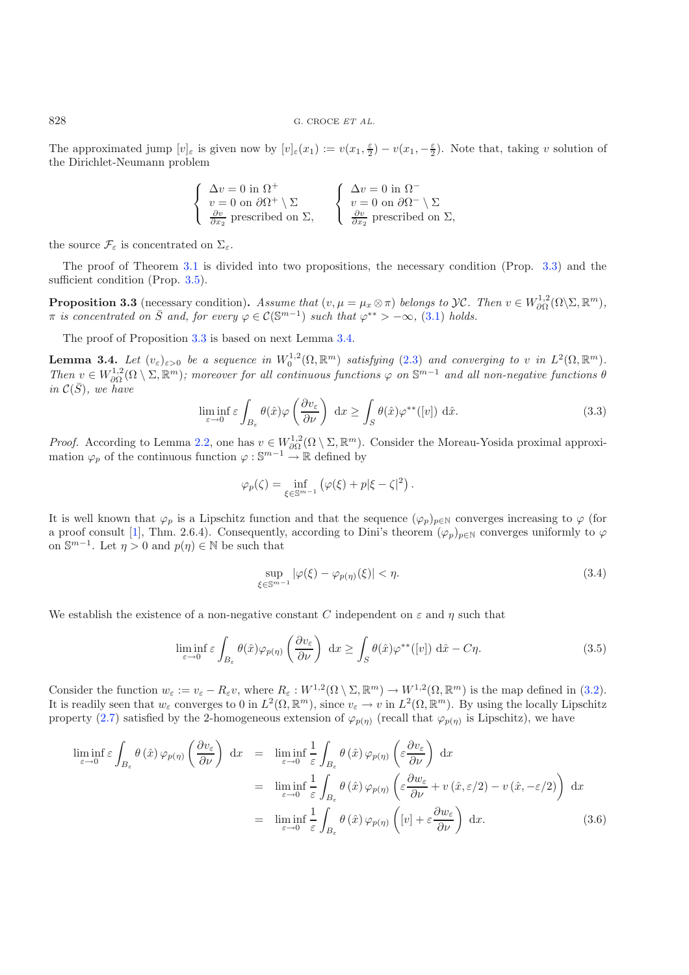828 G. CROCE *ET AL.*

The approximated jump  $[v]_{\varepsilon}$  is given now by  $[v]_{\varepsilon}(x_1) := v(x_1, \frac{\varepsilon}{2}) - v(x_1, -\frac{\varepsilon}{2})$ . Note that, taking v solution of the Dirichlet-Neumann problem

$$
\begin{cases} \Delta v = 0 \text{ in } \Omega^+ \\ v = 0 \text{ on } \partial \Omega^+ \setminus \Sigma \\ \frac{\partial v}{\partial x_2} \text{ prescribed on } \Sigma, \end{cases} \quad \begin{cases} \Delta v = 0 \text{ in } \Omega^- \\ v = 0 \text{ on } \partial \Omega^- \setminus \Sigma \\ \frac{\partial v}{\partial x_2} \text{ prescribed on } \Sigma, \end{cases}
$$

<span id="page-10-5"></span>the source  $\mathcal{F}_{\varepsilon}$  is concentrated on  $\Sigma_{\varepsilon}$ .

<span id="page-10-0"></span>The proof of Theorem [3.1](#page-8-0) is divided into two propositions, the necessary condition (Prop. [3.3\)](#page-10-0) and the sufficient condition (Prop. [3.5\)](#page-12-0).

**Proposition 3.3** (necessary condition). *Assume that*  $(v, \mu = \mu_x \otimes \pi)$  *belongs to*  $\mathcal{Y} \mathcal{C}$ *. Then*  $v \in W_{\partial\Omega}^{1,2}(\Omega \setminus \Sigma, \mathbb{R}^m)$ ,  $\pi$  *is concentrated on*  $\overline{S}$  *and, for every*  $\varphi \in C(\mathbb{S}^{m-1})$  *such that*  $\varphi^{**} > -\infty$ , [\(3.1\)](#page-8-1) *holds.* 

The proof of Proposition [3.3](#page-10-0) is based on next Lemma [3.4.](#page-10-1)

<span id="page-10-1"></span>**Lemma 3.4.** Let  $(v_{\varepsilon})_{\varepsilon>0}$  be a sequence in  $W_0^{1,2}(\Omega,\mathbb{R}^m)$  satisfying [\(2.3\)](#page-5-0) and converging to v in  $L^2(\Omega,\mathbb{R}^m)$ .  $Then \nu \in W^{1,2}_{\partial\Omega}(\Omega \setminus \Sigma, \mathbb{R}^m)$ ; moreover for all continuous functions  $\varphi$  on  $\mathbb{S}^{m-1}$  and all non-negative functions  $\theta$  $in \mathcal{C}(\bar{S})$ *, we have* 

<span id="page-10-2"></span>
$$
\liminf_{\varepsilon \to 0} \varepsilon \int_{B_{\varepsilon}} \theta(\hat{x}) \varphi \left( \frac{\partial v_{\varepsilon}}{\partial \nu} \right) dx \ge \int_{S} \theta(\hat{x}) \varphi^{**}([v]) d\hat{x}.
$$
 (3.3)

<span id="page-10-3"></span>*Proof.* According to Lemma [2.2,](#page-5-2) one has  $v \in W^{1,2}_{\partial\Omega}(\Omega \setminus \Sigma, \mathbb{R}^m)$ . Consider the Moreau-Yosida proximal approximation  $\varphi_p$  of the continuous function  $\varphi : \mathbb{S}^{m-1} \to \mathbb{R}$  defined by

$$
\varphi_p(\zeta) = \inf_{\xi \in \mathbb{S}^{m-1}} (\varphi(\xi) + p|\xi - \zeta|^2).
$$

It is well known that  $\varphi_p$  is a Lipschitz function and that the sequence  $(\varphi_p)_{p\in\mathbb{N}}$  converges increasing to  $\varphi$  (for a proof consult [\[1](#page-20-4)], Thm. 2.6.4). Consequently, according to Dini's theorem  $(\varphi_p)_{p\in\mathbb{N}}$  converges uniformly to  $\varphi$ on  $\mathbb{S}^{m-1}$ . Let  $\eta > 0$  and  $p(\eta) \in \mathbb{N}$  be such that

$$
\sup_{\xi \in \mathbb{S}^{m-1}} |\varphi(\xi) - \varphi_{p(\eta)}(\xi)| < \eta. \tag{3.4}
$$

We establish the existence of a non-negative constant C independent on  $\varepsilon$  and  $\eta$  such that

$$
\liminf_{\varepsilon \to 0} \varepsilon \int_{B_{\varepsilon}} \theta(\hat{x}) \varphi_{p(\eta)} \left( \frac{\partial v_{\varepsilon}}{\partial \nu} \right) dx \ge \int_{S} \theta(\hat{x}) \varphi^{**}([v]) d\hat{x} - C\eta.
$$
 (3.5)

Consider the function  $w_{\varepsilon} := v_{\varepsilon} - R_{\varepsilon}v$ , where  $R_{\varepsilon}: W^{1,2}(\Omega \setminus \Sigma, \mathbb{R}^m) \to W^{1,2}(\Omega, \mathbb{R}^m)$  is the map defined in [\(3.2\)](#page-8-2). It is readily seen that  $w_{\varepsilon}$  converges to 0 in  $L^2(\Omega, \mathbb{R}^m)$ , since  $v_{\varepsilon} \to v$  in  $L^2(\Omega, \mathbb{R}^m)$ . By using the locally Lipschitz property [\(2.7\)](#page-7-0) satisfied by the 2-homogeneous extension of  $\varphi_{p(\eta)}$  (recall that  $\varphi_{p(\eta)}$  is Lipschitz), we have

<span id="page-10-4"></span>
$$
\liminf_{\varepsilon \to 0} \varepsilon \int_{B_{\varepsilon}} \theta(\hat{x}) \varphi_{p(\eta)} \left( \frac{\partial v_{\varepsilon}}{\partial \nu} \right) dx = \liminf_{\varepsilon \to 0} \frac{1}{\varepsilon} \int_{B_{\varepsilon}} \theta(\hat{x}) \varphi_{p(\eta)} \left( \varepsilon \frac{\partial v_{\varepsilon}}{\partial \nu} \right) dx
$$
  
\n
$$
= \liminf_{\varepsilon \to 0} \frac{1}{\varepsilon} \int_{B_{\varepsilon}} \theta(\hat{x}) \varphi_{p(\eta)} \left( \varepsilon \frac{\partial w_{\varepsilon}}{\partial \nu} + v(\hat{x}, \varepsilon/2) - v(\hat{x}, -\varepsilon/2) \right) dx
$$
  
\n
$$
= \liminf_{\varepsilon \to 0} \frac{1}{\varepsilon} \int_{B_{\varepsilon}} \theta(\hat{x}) \varphi_{p(\eta)} \left( [v] + \varepsilon \frac{\partial w_{\varepsilon}}{\partial \nu} \right) dx.
$$
 (3.6)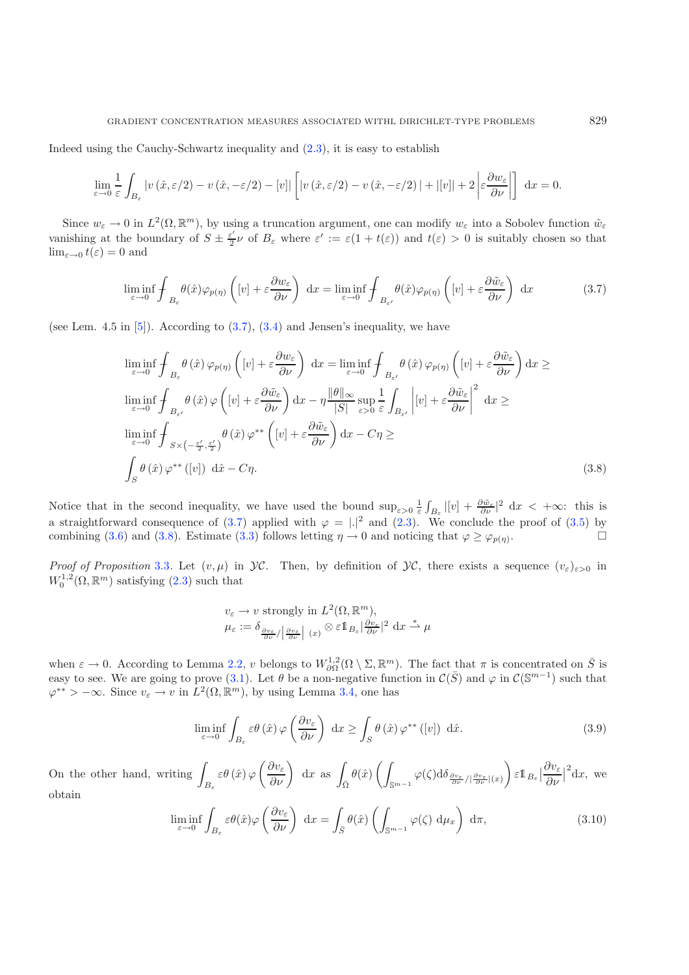<span id="page-11-0"></span>Indeed using the Cauchy-Schwartz inequality and [\(2.3\)](#page-5-0), it is easy to establish

$$
\lim_{\varepsilon \to 0} \frac{1}{\varepsilon} \int_{B_{\varepsilon}} |v(\hat{x}, \varepsilon/2) - v(\hat{x}, -\varepsilon/2) - [v]| \left[ |v(\hat{x}, \varepsilon/2) - v(\hat{x}, -\varepsilon/2) | + |[v]| + 2 \left| \varepsilon \frac{\partial w_{\varepsilon}}{\partial \nu} \right| \right] dx = 0.
$$

Since  $w_{\varepsilon} \to 0$  in  $L^2(\Omega, \mathbb{R}^m)$ , by using a truncation argument, one can modify  $w_{\varepsilon}$  into a Sobolev function  $\tilde{w}_{\varepsilon}$ vanishing at the boundary of  $S \pm \frac{\varepsilon'}{2} \nu$  of  $B_{\varepsilon}$  where  $\varepsilon' := \varepsilon (1 + t(\varepsilon))$  and  $t(\varepsilon) > 0$  is suitably chosen so that  $\lim_{\varepsilon\to 0} t(\varepsilon) = 0$  and

$$
\liminf_{\varepsilon \to 0} \int_{B_{\varepsilon}} \theta(\hat{x}) \varphi_{p(\eta)} \left( [v] + \varepsilon \frac{\partial w_{\varepsilon}}{\partial \nu} \right) dx = \liminf_{\varepsilon \to 0} \int_{B_{\varepsilon'}} \theta(\hat{x}) \varphi_{p(\eta)} \left( [v] + \varepsilon \frac{\partial \tilde{w}_{\varepsilon}}{\partial \nu} \right) dx \tag{3.7}
$$

<span id="page-11-1"></span>(see Lem. 4.5 in  $[5]$ ). According to  $(3.7)$ ,  $(3.4)$  and Jensen's inequality, we have

$$
\liminf_{\varepsilon \to 0} \oint_{B_{\varepsilon}} \theta(\hat{x}) \varphi_{p(\eta)} \left( [v] + \varepsilon \frac{\partial w_{\varepsilon}}{\partial \nu} \right) dx = \liminf_{\varepsilon \to 0} \oint_{B_{\varepsilon'}} \theta(\hat{x}) \varphi_{p(\eta)} \left( [v] + \varepsilon \frac{\partial \tilde{w}_{\varepsilon}}{\partial \nu} \right) dx \ge
$$
\n
$$
\liminf_{\varepsilon \to 0} \oint_{B_{\varepsilon'}} \theta(\hat{x}) \varphi \left( [v] + \varepsilon \frac{\partial \tilde{w}_{\varepsilon}}{\partial \nu} \right) dx - \eta \frac{\|\theta\|_{\infty}}{|S|} \sup_{\varepsilon > 0} \frac{1}{\varepsilon} \int_{B_{\varepsilon'}} \left| [v] + \varepsilon \frac{\partial \tilde{w}_{\varepsilon}}{\partial \nu} \right|^2 dx \ge
$$
\n
$$
\liminf_{\varepsilon \to 0} \oint_{S \times (-\frac{\varepsilon'}{2}, \frac{\varepsilon'}{2})} \theta(\hat{x}) \varphi^{**} \left( [v] + \varepsilon \frac{\partial \tilde{w}_{\varepsilon}}{\partial \nu} \right) dx - C\eta \ge
$$
\n
$$
\int_{S} \theta(\hat{x}) \varphi^{**} ([v]) d\hat{x} - C\eta.
$$
\n(3.8)

Notice that in the second inequality, we have used the bound  $\sup_{\varepsilon>0} \frac{1}{\varepsilon}$  $\frac{1}{\varepsilon} \int_{B_{\varepsilon}} |[v] + \frac{\partial \tilde{w}_{\varepsilon}}{\partial \nu}|^2 dx < +\infty$ : this is a straightforward consequence of [\(3.7\)](#page-11-0) applied with  $\varphi = |A|^2$  and [\(2.3\)](#page-5-0). We conclude the proof of [\(3.5\)](#page-10-3) by combining [\(3.6\)](#page-10-4) and [\(3.8\)](#page-11-1). Estimate [\(3.3\)](#page-10-5) follows letting  $\eta \to 0$  and noticing that  $\varphi \ge \varphi_{p(\eta)}$ .

<span id="page-11-2"></span>*Proof of Proposition* [3.3](#page-10-0). Let  $(v, \mu)$  in  $\mathcal{Y}C$ . Then, by definition of  $\mathcal{Y}C$ , there exists a sequence  $(v_{\varepsilon})_{\varepsilon>0}$  in  $W_0^{1,2}(\Omega, \mathbb{R}^m)$  satisfying  $(2.3)$  such that

$$
v_{\varepsilon} \to v \text{ strongly in } L^{2}(\Omega, \mathbb{R}^{m}),
$$
  

$$
\mu_{\varepsilon} := \delta_{\frac{\partial v_{\varepsilon}}{\partial \nu} / |\frac{\partial v_{\varepsilon}}{\partial \nu}| (x)} \otimes \varepsilon 1_{B_{\varepsilon}} |\frac{\partial v_{\varepsilon}}{\partial \nu}|^{2} dx \stackrel{*}{\to} \mu
$$

<span id="page-11-3"></span>when  $\varepsilon \to 0$ . According to Lemma [2.2,](#page-5-2) v belongs to  $W^{1,2}_{\partial\Omega}(\Omega \setminus \Sigma, \mathbb{R}^m)$ . The fact that  $\pi$  is concentrated on  $\overline{S}$  is easy to see. We are going to prove [\(3.1\)](#page-8-1). Let  $\theta$  be a non-negative function in  $\mathcal{C}(\bar{S})$  and  $\varphi$  in  $\mathcal{C}(\mathbb{S}^{m-1})$  such that  $\varphi^{**} > -\infty$ . Since  $v_{\varepsilon} \to v$  in  $L^2(\Omega, \mathbb{R}^m)$ , by using Lemma [3.4,](#page-10-1) one has

$$
\liminf_{\varepsilon \to 0} \int_{B_{\varepsilon}} \varepsilon \theta(\hat{x}) \varphi\left(\frac{\partial v_{\varepsilon}}{\partial \nu}\right) dx \ge \int_{S} \theta(\hat{x}) \varphi^{**} ([v]) d\hat{x}.
$$
 (3.9)

On the other hand, writing  $B_{\varepsilon}$  $\varepsilon \theta\left(\hat{x}\right) \varphi \left(\frac{\partial v_{\varepsilon}}{\partial \nu}\right) \; \mathrm{d}x \; \, \mathrm{as} \; \int_{\bar{\Omega}} \theta(\hat{x}) \left(\int \right)$  $\int_{\mathbb{S}^{m-1}} \varphi(\zeta) \mathrm{d} \delta_\frac{\partial v_\varepsilon}{\partial \nu} / |\frac{\partial v_\varepsilon}{\partial \nu}|(x) \Bigg) \, \varepsilon 1\!\!1_{B_\varepsilon} \Big|_{\zeta}$  $\partial v_\varepsilon$  $rac{\partial v_{\varepsilon}}{\partial \nu}|_0$  $^{2}dx$ , we obtain

$$
\liminf_{\varepsilon \to 0} \int_{B_{\varepsilon}} \varepsilon \theta(\hat{x}) \varphi\left(\frac{\partial v_{\varepsilon}}{\partial \nu}\right) dx = \int_{\bar{S}} \theta(\hat{x}) \left( \int_{\mathbb{S}^{m-1}} \varphi(\zeta) d\mu_x \right) d\pi, \tag{3.10}
$$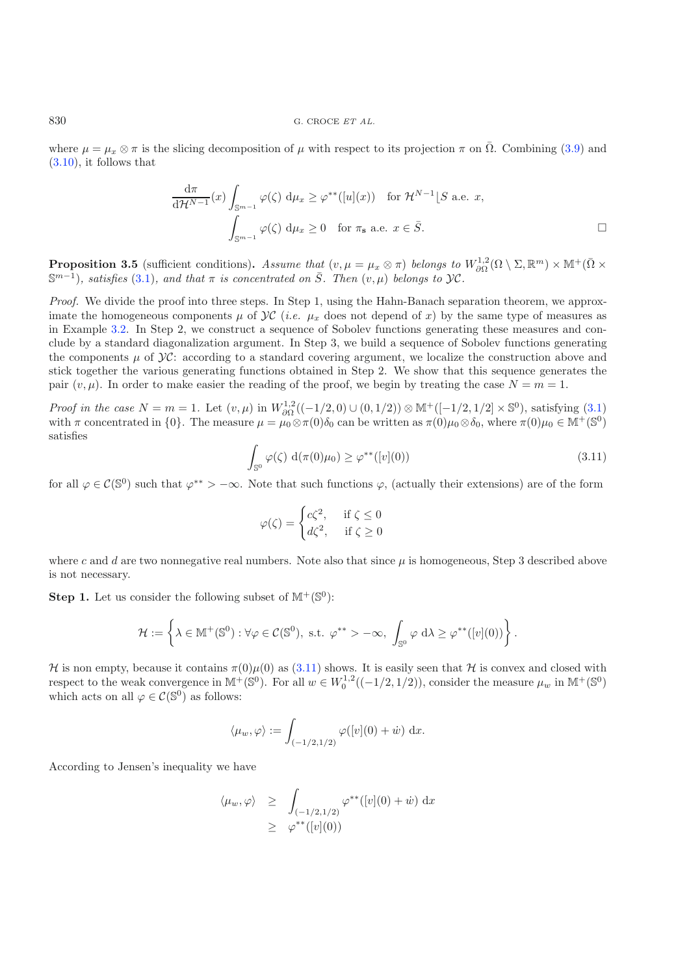where  $\mu = \mu_x \otimes \pi$  is the slicing decomposition of  $\mu$  with respect to its projection  $\pi$  on  $\overline{\Omega}$ . Combining ([3.9\)](#page-11-2) and [\(3.10\)](#page-11-3), it follows that

<span id="page-12-1"></span>
$$
\frac{d\pi}{d\mathcal{H}^{N-1}}(x)\int_{\mathbb{S}^{m-1}}\varphi(\zeta)\ d\mu_x \geq \varphi^{**}([u](x)) \text{ for } \mathcal{H}^{N-1}[S \text{ a.e. } x,
$$

$$
\int_{\mathbb{S}^{m-1}}\varphi(\zeta)\ d\mu_x \geq 0 \text{ for } \pi_{\mathbf{s}} \text{ a.e. } x \in \overline{S}.
$$

<span id="page-12-0"></span>**Proposition 3.5** (sufficient conditions). Assume that  $(v, \mu = \mu_x \otimes \pi)$  belongs to  $W^{1,2}_{\partial\Omega}(\Omega \setminus \Sigma, \mathbb{R}^m) \times \mathbb{M}^+(\overline{\Omega} \times \mathbb{R}^m)$  $\mathbb{S}^{m-1}$ *), satisfies* [\(3.1\)](#page-8-1)*, and that*  $\pi$  *is concentrated on*  $\overline{S}$ *. Then*  $(v, \mu)$  *belongs to*  $\mathcal{Y}C$ *.* 

*Proof.* We divide the proof into three steps. In Step 1, using the Hahn-Banach separation theorem, we approximate the homogeneous components  $\mu$  of  $\mathcal{VC}$  (*i.e.*  $\mu_x$  does not depend of x) by the same type of measures as in Example [3.2.](#page-8-3) In Step 2, we construct a sequence of Sobolev functions generating these measures and conclude by a standard diagonalization argument. In Step 3, we build a sequence of Sobolev functions generating the components  $\mu$  of  $\mathcal{Y}C$ : according to a standard covering argument, we localize the construction above and stick together the various generating functions obtained in Step 2. We show that this sequence generates the pair  $(v, \mu)$ . In order to make easier the reading of the proof, we begin by treating the case  $N = m = 1$ .

*Proof in the case*  $N = m = 1$ . Let  $(v, \mu)$  in  $W_{\partial\Omega}^{1,2}((-1/2, 0) \cup (0, 1/2)) \otimes M^+([-1/2, 1/2] \times \mathbb{S}^0)$ , satisfying  $(3.1)$ with  $\pi$  concentrated in {0}. The measure  $\mu = \mu_0 \otimes \pi(0)\delta_0$  can be written as  $\pi(0)\mu_0 \otimes \delta_0$ , where  $\pi(0)\mu_0 \in \mathbb{M}^+(\mathbb{S}^0)$ satisfies

$$
\int_{\mathbb{S}^0} \varphi(\zeta) \, d(\pi(0)\mu_0) \ge \varphi^{**}([v](0)) \tag{3.11}
$$

for all  $\varphi \in C(\mathbb{S}^0)$  such that  $\varphi^{**} > -\infty$ . Note that such functions  $\varphi$ , (actually their extensions) are of the form

$$
\varphi(\zeta) = \begin{cases} c\zeta^2, & \text{if } \zeta \le 0 \\ d\zeta^2, & \text{if } \zeta \ge 0 \end{cases}
$$

where c and d are two nonnegative real numbers. Note also that since  $\mu$  is homogeneous, Step 3 described above is not necessary.

**Step 1.** Let us consider the following subset of  $M^+(\mathbb{S}^0)$ :

$$
\mathcal{H}:=\left\{\lambda\in\mathbb{M}^+(\mathbb{S}^0):\forall\varphi\in\mathcal{C}(\mathbb{S}^0),\text{ s.t. }\varphi^{**}>-\infty,\ \int_{\mathbb{S}^0}\varphi\;d\lambda\geq\varphi^{**}([v](0))\right\}.
$$

H is non empty, because it contains  $\pi(0)\mu(0)$  as  $(3.11)$  shows. It is easily seen that H is convex and closed with respect to the weak convergence in  $\mathbb{M}^+(\mathbb{S}^0)$ . For all  $w \in W_0^{1,2}((-1/2,1/2))$ , consider the measure  $\mu_w$  in  $\mathbb{M}^+(\mathbb{S}^0)$ which acts on all  $\varphi \in \mathcal{C}(\mathbb{S}^0)$  as follows:

$$
\langle \mu_w, \varphi \rangle := \int_{(-1/2, 1/2)} \varphi([v](0) + \dot{w}) \, dx.
$$

According to Jensen's inequality we have

$$
\langle \mu_w, \varphi \rangle \geq \int_{\substack{(-1/2, 1/2) \\ \geq \varphi^{**}([v](0))}} \varphi^{**}([v](0) + \dot{w}) \, dx
$$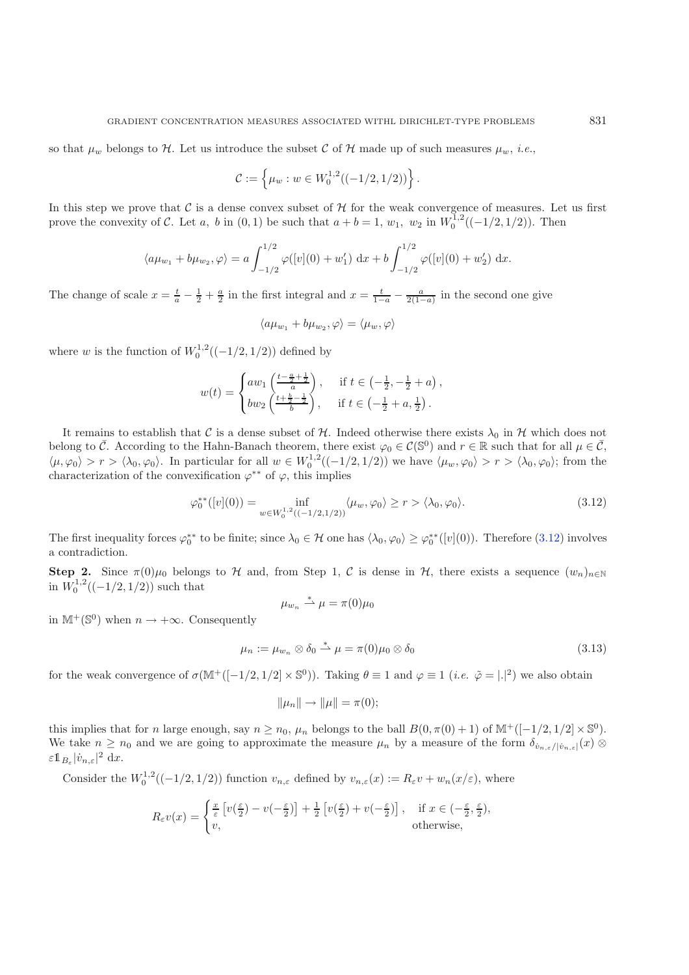so that  $\mu_w$  belongs to H. Let us introduce the subset C of H made up of such measures  $\mu_w$ , *i.e.*,

$$
\mathcal{C} := \left\{ \mu_w : w \in W_0^{1,2}((-1/2,1/2)) \right\}
$$

In this step we prove that C is a dense convex subset of  $\mathcal H$  for the weak convergence of measures. Let us first prove the convexity of C. Let a, b in  $(0,1)$  be such that  $a + b = 1$ ,  $w_1$ ,  $w_2$  in  $W_0^{1,2}((-1/2,1/2))$ . Then

$$
\langle a\mu_{w_1} + b\mu_{w_2}, \varphi \rangle = a \int_{-1/2}^{1/2} \varphi([v](0) + w'_1) \, dx + b \int_{-1/2}^{1/2} \varphi([v](0) + w'_2) \, dx.
$$

The change of scale  $x = \frac{t}{a} - \frac{1}{2} + \frac{a}{2}$  in the first integral and  $x = \frac{t}{1-a} - \frac{a}{2(1-a)}$  in the second one give

$$
\langle a\mu_{w_1} + b\mu_{w_2}, \varphi \rangle = \langle \mu_w, \varphi \rangle
$$

<span id="page-13-0"></span>where w is the function of  $W_0^{1,2}((-1/2,1/2))$  defined by

$$
w(t) = \begin{cases} aw_1\left(\frac{t - \frac{a}{2} + \frac{1}{2}}{a}\right), & \text{if } t \in \left(-\frac{1}{2}, -\frac{1}{2} + a\right), \\ bw_2\left(\frac{t + \frac{b}{2} - \frac{1}{2}}{b}\right), & \text{if } t \in \left(-\frac{1}{2} + a, \frac{1}{2}\right). \end{cases}
$$

It remains to establish that C is a dense subset of H. Indeed otherwise there exists  $\lambda_0$  in H which does not belong to  $\overline{C}$ . According to the Hahn-Banach theorem, there exist  $\varphi_0 \in C(\mathbb{S}^0)$  and  $r \in \mathbb{R}$  such that for all  $\mu \in \overline{C}$ ,  $\langle \mu, \varphi_0 \rangle > r > \langle \lambda_0, \varphi_0 \rangle$ . In particular for all  $w \in W_0^{1,2}((-1/2, 1/2))$  we have  $\langle \mu_w, \varphi_0 \rangle > r > \langle \lambda_0, \varphi_0 \rangle$ ; from the characterization of the convexification  $\varphi^{**}$  of  $\varphi$ , this implies

<span id="page-13-1"></span>
$$
\varphi_0^{**}([v](0)) = \inf_{w \in W_0^{1,2}((-1/2,1/2))} \langle \mu_w, \varphi_0 \rangle \ge r > \langle \lambda_0, \varphi_0 \rangle. \tag{3.12}
$$

.

The first inequality forces  $\varphi_0^{**}$  to be finite; since  $\lambda_0 \in \mathcal{H}$  one has  $\langle \lambda_0, \varphi_0 \rangle \geq \varphi_0^{**}([v](0))$ . Therefore  $(3.12)$  involves a contradiction.

**Step 2.** Since  $\pi(0)\mu_0$  belongs to H and, from Step 1, C is dense in H, there exists a sequence  $(w_n)_{n\in\mathbb{N}}$ in  $W_0^{1,2}((-1/2,1/2))$  such that \*

$$
\mu_{w_n} \stackrel{*}{\rightharpoonup} \mu = \pi(0)\mu_0
$$

in  $\mathbb{M}^+(\mathbb{S}^0)$  when  $n \to +\infty$ . Consequently

$$
\mu_n := \mu_{w_n} \otimes \delta_0 \stackrel{*}{\rightharpoonup} \mu = \pi(0)\mu_0 \otimes \delta_0 \tag{3.13}
$$

for the weak convergence of  $\sigma(M^+([-1/2, 1/2] \times \mathbb{S}^0))$ . Taking  $\theta \equiv 1$  and  $\varphi \equiv 1$  (*i.e.*  $\tilde{\varphi} = |.|^2$ ) we also obtain

$$
\|\mu_n\| \to \|\mu\| = \pi(0);
$$

this implies that for n large enough, say  $n \ge n_0$ ,  $\mu_n$  belongs to the ball  $B(0, \pi(0) + 1)$  of  $\mathbb{M}^+([-1/2, 1/2] \times \mathbb{S}^0)$ . We take  $n \geq n_0$  and we are going to approximate the measure  $\mu_n$  by a measure of the form  $\delta_{\dot{v}_{n,\varepsilon}/|\dot{v}_{n,\varepsilon}|}(x)$  $\varepsilon \mathbb{1}_{B_{\varepsilon}} |\dot{v}_{n,\varepsilon}|^2 \mathrm{d}x.$ 

Consider the  $W_0^{1,2}((-1/2,1/2))$  function  $v_{n,\varepsilon}$  defined by  $v_{n,\varepsilon}(x) := R_{\varepsilon}v + w_n(x/\varepsilon)$ , where

$$
R_{\varepsilon}v(x) = \begin{cases} \frac{x}{\varepsilon} \left[ v(\frac{\varepsilon}{2}) - v(-\frac{\varepsilon}{2}) \right] + \frac{1}{2} \left[ v(\frac{\varepsilon}{2}) + v(-\frac{\varepsilon}{2}) \right], & \text{if } x \in (-\frac{\varepsilon}{2}, \frac{\varepsilon}{2}),\\ v, & \text{otherwise}, \end{cases}
$$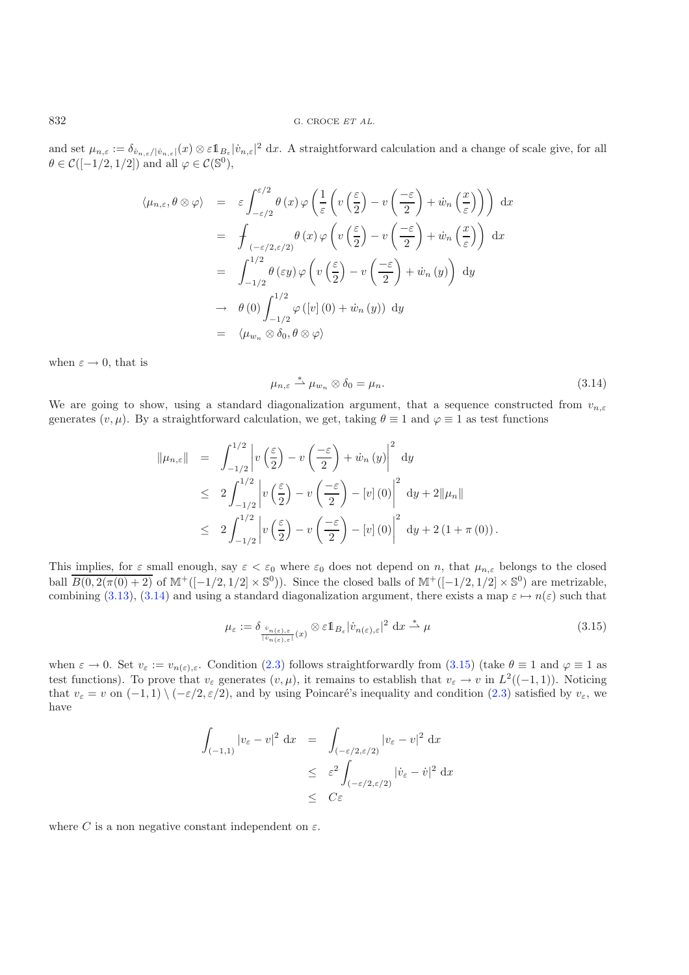and set  $\mu_{n,\varepsilon} := \delta_{\dot{v}_{n,\varepsilon}/|\dot{v}_{n,\varepsilon}|}(x) \otimes \varepsilon \mathbb{1}_{B_{\varepsilon}} |\dot{v}_{n,\varepsilon}|^2 dx$ . A straightforward calculation and a change of scale give, for all  $\theta \in \mathcal{C}([-1/2, 1/2])$  and all  $\varphi \in \mathcal{C}(\mathbb{S}^0)$ ,

<span id="page-14-0"></span>
$$
\langle \mu_{n,\varepsilon}, \theta \otimes \varphi \rangle = \varepsilon \int_{-\varepsilon/2}^{\varepsilon/2} \theta(x) \varphi \left( \frac{1}{\varepsilon} \left( v \left( \frac{\varepsilon}{2} \right) - v \left( \frac{-\varepsilon}{2} \right) + \dot{w}_n \left( \frac{x}{\varepsilon} \right) \right) \right) dx
$$
  
\n
$$
= \int_{(-\varepsilon/2, \varepsilon/2)}^{\theta(x)} \theta(x) \varphi \left( v \left( \frac{\varepsilon}{2} \right) - v \left( \frac{-\varepsilon}{2} \right) + \dot{w}_n \left( \frac{x}{\varepsilon} \right) \right) dx
$$
  
\n
$$
= \int_{-1/2}^{1/2} \theta(\varepsilon y) \varphi \left( v \left( \frac{\varepsilon}{2} \right) - v \left( \frac{-\varepsilon}{2} \right) + \dot{w}_n \left( y \right) \right) dy
$$
  
\n
$$
\to \theta(0) \int_{-1/2}^{1/2} \varphi([v](0) + \dot{w}_n(y)) dy
$$
  
\n
$$
= \langle \mu_{w_n} \otimes \delta_0, \theta \otimes \varphi \rangle
$$

when  $\varepsilon \to 0$ , that is

$$
\mu_{n,\varepsilon} \stackrel{*}{\rightharpoonup} \mu_{w_n} \otimes \delta_0 = \mu_n. \tag{3.14}
$$

We are going to show, using a standard diagonalization argument, that a sequence constructed from  $v_{n,\varepsilon}$ generates  $(v, \mu)$ . By a straightforward calculation, we get, taking  $\theta \equiv 1$  and  $\varphi \equiv 1$  as test functions

<span id="page-14-1"></span>
$$
\|\mu_{n,\varepsilon}\| = \int_{-1/2}^{1/2} \left| v\left(\frac{\varepsilon}{2}\right) - v\left(\frac{-\varepsilon}{2}\right) + \dot{w}_n\left(y\right) \right|^2 dy
$$
  
\n
$$
\leq 2 \int_{-1/2}^{1/2} \left| v\left(\frac{\varepsilon}{2}\right) - v\left(\frac{-\varepsilon}{2}\right) - \left[ v \right] (0) \right|^2 dy + 2\|\mu_n\|
$$
  
\n
$$
\leq 2 \int_{-1/2}^{1/2} \left| v\left(\frac{\varepsilon}{2}\right) - v\left(\frac{-\varepsilon}{2}\right) - \left[ v \right] (0) \right|^2 dy + 2(1 + \pi (0)).
$$

This implies, for  $\varepsilon$  small enough, say  $\varepsilon < \varepsilon_0$  where  $\varepsilon_0$  does not depend on n, that  $\mu_{n,\varepsilon}$  belongs to the closed ball  $\overline{B(0, 2(\pi(0) + 2)}$  of  $\mathbb{M}^+([-1/2, 1/2] \times \mathbb{S}^0)$ . Since the closed balls of  $\mathbb{M}^+([-1/2, 1/2] \times \mathbb{S}^0)$  are metrizable, combining [\(3.13\)](#page-13-1), [\(3.14\)](#page-14-0) and using a standard diagonalization argument, there exists a map  $\varepsilon \mapsto n(\varepsilon)$  such that

$$
\mu_{\varepsilon} := \delta_{\frac{\dot{v}_{n(\varepsilon),\varepsilon}}{|\bar{v}_{n(\varepsilon),\varepsilon}|}(x)} \otimes \varepsilon 1\!\!1_{B_{\varepsilon}} |\dot{v}_{n(\varepsilon),\varepsilon}|^2 dx \stackrel{*}{\rightharpoonup} \mu \tag{3.15}
$$

when  $\varepsilon \to 0$ . Set  $v_{\varepsilon} := v_{n(\varepsilon),\varepsilon}$ . Condition [\(2.3\)](#page-5-0) follows straightforwardly from [\(3.15\)](#page-14-1) (take  $\theta \equiv 1$  and  $\varphi \equiv 1$  as test functions). To prove that  $v_{\varepsilon}$  generates  $(v, \mu)$ , it remains to establish that  $v_{\varepsilon} \to v$  in  $L^2((-1, 1))$ . Noticing that  $v_{\varepsilon} = v$  on  $(-1, 1) \setminus (-\varepsilon/2, \varepsilon/2)$ , and by using Poincaré's inequality and condition [\(2.3\)](#page-5-0) satisfied by  $v_{\varepsilon}$ , we have

$$
\int_{(-1,1)} |v_{\varepsilon} - v|^2 dx = \int_{(-\varepsilon/2, \varepsilon/2)} |v_{\varepsilon} - v|^2 dx
$$
  
\n
$$
\leq \varepsilon^2 \int_{(-\varepsilon/2, \varepsilon/2)} |v_{\varepsilon} - v|^2 dx
$$
  
\n
$$
\leq C\varepsilon
$$

where C is a non negative constant independent on  $\varepsilon$ .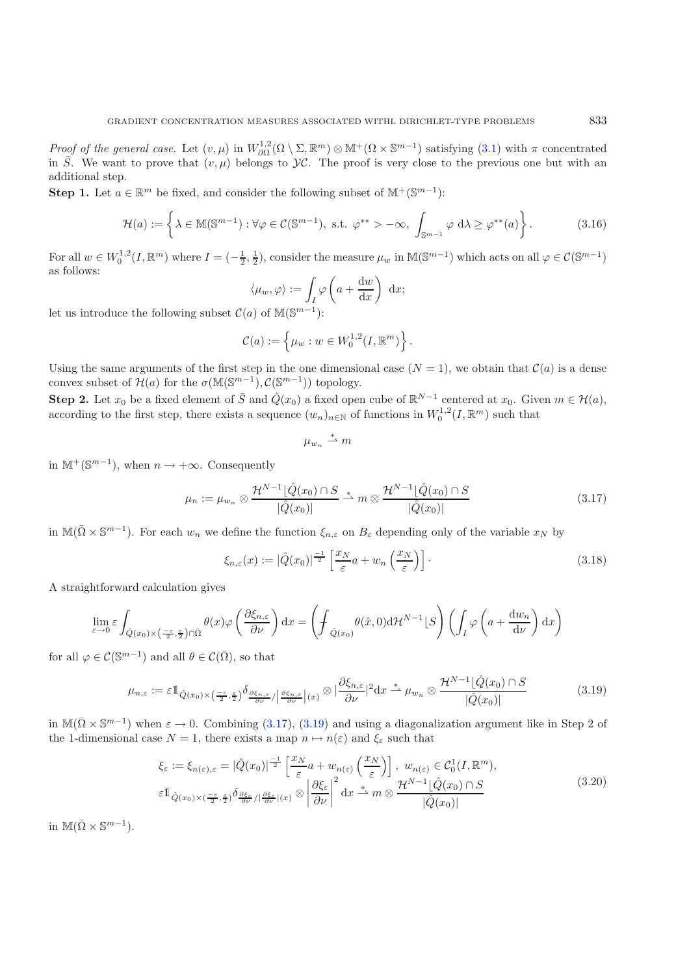<span id="page-15-2"></span>*Proof of the general case.* Let  $(v, \mu)$  in  $W^{1,2}_{\partial\Omega}(\Omega \setminus \Sigma, \mathbb{R}^m) \otimes \mathbb{M}^+(\Omega \times \mathbb{S}^{m-1})$  satisfying [\(3.1\)](#page-8-1) with  $\pi$  concentrated in  $\overline{S}$ . We want to prove that  $(v, \mu)$  belongs to  $\mathcal{Y}C$ . The proof is very close to the previous one but with an additional step.

**Step 1.** Let  $a \in \mathbb{R}^m$  be fixed, and consider the following subset of  $\mathbb{M}^+(\mathbb{S}^{m-1})$ :

$$
\mathcal{H}(a) := \left\{ \lambda \in \mathbb{M}(\mathbb{S}^{m-1}) : \forall \varphi \in \mathcal{C}(\mathbb{S}^{m-1}), \text{ s.t. } \varphi^{**} > -\infty, \int_{\mathbb{S}^{m-1}} \varphi \, d\lambda \ge \varphi^{**}(a) \right\}.
$$
 (3.16)

For all  $w \in W_0^{1,2}(I,\mathbb{R}^m)$  where  $I = \left(-\frac{1}{2},\frac{1}{2}\right)$ , consider the measure  $\mu_w$  in  $\mathbb{M}(\mathbb{S}^{m-1})$  which acts on all  $\varphi \in C(\mathbb{S}^{m-1})$ as follows:

$$
\langle \mu_w, \varphi \rangle := \int_I \varphi \left( a + \frac{\mathrm{d}w}{\mathrm{d}x} \right) \, \mathrm{d}x;
$$

<span id="page-15-0"></span>let us introduce the following subset  $\mathcal{C}(a)$  of M(S<sup>m-1</sup>):

$$
\mathcal{C}(a) := \left\{ \mu_w : w \in W_0^{1,2}(I,\mathbb{R}^m) \right\}.
$$

Using the same arguments of the first step in the one dimensional case  $(N = 1)$ , we obtain that  $\mathcal{C}(a)$  is a dense convex subset of  $\mathcal{H}(a)$  for the  $\sigma(\mathbb{M}(\mathbb{S}^{m-1}), \mathcal{C}(\mathbb{S}^{m-1}))$  topology.

**Step 2.** Let  $x_0$  be a fixed element of  $\overline{S}$  and  $\hat{Q}(x_0)$  a fixed open cube of  $\mathbb{R}^{N-1}$  centered at  $x_0$ . Given  $m \in \mathcal{H}(a)$ , according to the first step, there exists a sequence  $(w_n)_{n\in\mathbb{N}}$  of functions in  $W_0^{1,2}(I,\mathbb{R}^m)$  such that

$$
\mu_{w_n} \stackrel{*}{\rightharpoonup} m
$$

in  $\mathbb{M}^+(\mathbb{S}^{m-1})$ , when  $n \to +\infty$ . Consequently

$$
\mu_n := \mu_{w_n} \otimes \frac{\mathcal{H}^{N-1}[\hat{Q}(x_0) \cap S]}{|\hat{Q}(x_0)|} \stackrel{*}{\longrightarrow} m \otimes \frac{\mathcal{H}^{N-1}[\hat{Q}(x_0) \cap S]}{|\hat{Q}(x_0)|}
$$
\n(3.17)

<span id="page-15-1"></span>in  $\mathbb{M}(\bar{\Omega}\times\mathbb{S}^{m-1})$ . For each  $w_n$  we define the function  $\xi_{n,\varepsilon}$  on  $B_{\varepsilon}$  depending only of the variable  $x_N$  by

$$
\xi_{n,\varepsilon}(x) := |\hat{Q}(x_0)|^{\frac{-1}{2}} \left[ \frac{x_N}{\varepsilon} a + w_n \left( \frac{x_N}{\varepsilon} \right) \right]. \tag{3.18}
$$

A straightforward calculation gives

<span id="page-15-3"></span>
$$
\lim_{\varepsilon \to 0} \varepsilon \int_{\hat{Q}(x_0) \times \left(\frac{-\varepsilon}{2}, \frac{\varepsilon}{2}\right) \cap \bar{\Omega}} \theta(x) \varphi\left(\frac{\partial \xi_{n,\varepsilon}}{\partial \nu}\right) dx = \left( \oint_{\hat{Q}(x_0)} \theta(\hat{x}, 0) d\mathcal{H}^{N-1}[S] \right) \left( \int_I \varphi\left(a + \frac{dw_n}{d\nu}\right) dx \right)
$$

for all  $\varphi \in \mathcal{C}(\mathbb{S}^{m-1})$  and all  $\theta \in \mathcal{C}(\overline{\Omega})$ , so that

$$
\mu_{n,\varepsilon} := \varepsilon \mathbb{1}_{\hat{Q}(x_0) \times \left(\frac{-\varepsilon}{2}, \frac{\varepsilon}{2}\right)} \delta_{\frac{\partial \xi_{n,\varepsilon}}{\partial \nu}/\left|\frac{\partial \xi_{n,\varepsilon}}{\partial \nu}\right| (x)} \otimes \left|\frac{\partial \xi_{n,\varepsilon}}{\partial \nu}\right|^2 \mathrm{d}x \stackrel{*}{\to} \mu_{w_n} \otimes \frac{\mathcal{H}^{N-1}[\hat{Q}(x_0) \cap S]}{|\hat{Q}(x_0)|} \tag{3.19}
$$

in  $\mathbb{M}(\bar{\Omega}\times\mathbb{S}^{m-1})$  when  $\varepsilon\to 0$ . Combining [\(3.17\)](#page-15-0), [\(3.19\)](#page-15-1) and using a diagonalization argument like in Step 2 of the 1-dimensional case  $N = 1$ , there exists a map  $n \mapsto n(\varepsilon)$  and  $\xi_{\varepsilon}$  such that

$$
\xi_{\varepsilon} := \xi_{n(\varepsilon),\varepsilon} = |\hat{Q}(x_0)|^{\frac{-1}{2}} \left[ \frac{x_N}{\varepsilon} a + w_{n(\varepsilon)} \left( \frac{x_N}{\varepsilon} \right) \right], \ w_{n(\varepsilon)} \in C_0^1(I, \mathbb{R}^m),
$$
  

$$
\varepsilon \mathbb{1}_{\hat{Q}(x_0) \times (\frac{-\varepsilon}{2}, \frac{\varepsilon}{2})} \delta_{\frac{\partial \xi_{\varepsilon}}{\partial \nu} / |\frac{\partial \xi_{\varepsilon}}{\partial \nu}|(x)} \otimes \left| \frac{\partial \xi_{\varepsilon}}{\partial \nu} \right|^2 dx \stackrel{*}{\to} m \otimes \frac{\mathcal{H}^{N-1}[\hat{Q}(x_0) \cap S]}{|\hat{Q}(x_0)|} \tag{3.20}
$$

in  $\mathbb{M}(\bar{\Omega}\times \mathbb{S}^{m-1}).$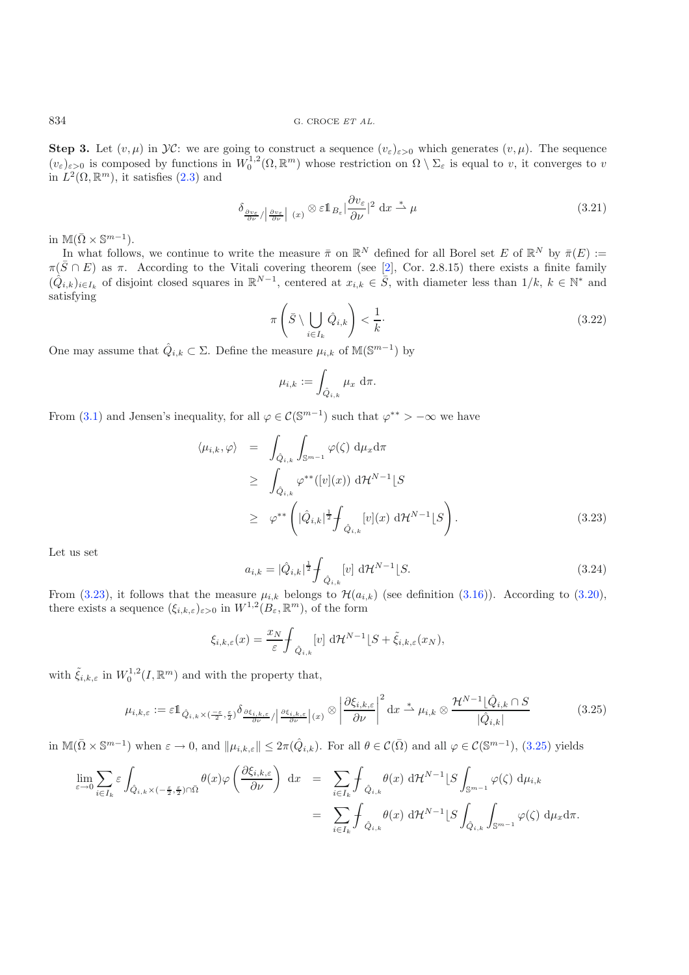<span id="page-16-3"></span>834 G. CROCE *ET AL.*

**Step 3.** Let  $(v, \mu)$  in  $\mathcal{VC}$ : we are going to construct a sequence  $(v_{\varepsilon})_{\varepsilon>0}$  which generates  $(v, \mu)$ . The sequence  $(v_{\varepsilon})_{\varepsilon>0}$  is composed by functions in  $W_0^{1,2}(\Omega,\mathbb{R}^m)$  whose restriction on  $\Omega \setminus \Sigma_{\varepsilon}$  is equal to v, it converges to v in  $L^2(\Omega, \mathbb{R}^m)$ , it satisfies  $(2.3)$  and

<span id="page-16-2"></span>
$$
\delta_{\frac{\partial v_{\varepsilon}}{\partial \nu}/\left|\frac{\partial v_{\varepsilon}}{\partial \nu}\right|}(x) \otimes \varepsilon \mathbb{1}_{B_{\varepsilon}}|\frac{\partial v_{\varepsilon}}{\partial \nu}|^2 dx \stackrel{*}{\rightharpoonup} \mu
$$
\n(3.21)

in  $\mathbb{M}(\bar{\Omega}\times \mathbb{S}^{m-1}).$ 

In what follows, we continue to write the measure  $\bar{\pi}$  on  $\mathbb{R}^N$  defined for all Borel set E of  $\mathbb{R}^N$  by  $\bar{\pi}(E) :=$  $\pi(\bar{S} \cap E)$  as  $\pi$ . According to the Vitali covering theorem (see [\[2](#page-20-5)], Cor. 2.8.15) there exists a finite family  $(\hat{Q}_{i,k})_{i\in I_k}$  of disjoint closed squares in  $\mathbb{R}^{N-1}$ , centered at  $x_{i,k}\in \overline{S}$ , with diameter less than  $1/k$ ,  $k\in\mathbb{N}^*$  and satisfying

$$
\pi\left(\bar{S} \setminus \bigcup_{i \in I_k} \hat{Q}_{i,k}\right) < \frac{1}{k}.\tag{3.22}
$$

One may assume that  $\hat{Q}_{i,k} \subset \Sigma$ . Define the measure  $\mu_{i,k}$  of  $\mathbb{M}(\mathbb{S}^{m-1})$  by

$$
\mu_{i,k} := \int_{\hat{Q}_{i,k}} \mu_x \, d\pi.
$$

<span id="page-16-0"></span>From [\(3.1\)](#page-8-1) and Jensen's inequality, for all  $\varphi \in C(\mathbb{S}^{m-1})$  such that  $\varphi^{**} > -\infty$  we have

$$
\langle \mu_{i,k}, \varphi \rangle = \int_{\hat{Q}_{i,k}} \int_{\mathbb{S}^{m-1}} \varphi(\zeta) \, \mathrm{d}\mu_x \mathrm{d}\pi
$$
  
\n
$$
\geq \int_{\hat{Q}_{i,k}} \varphi^{**}([v](x)) \, \mathrm{d}\mathcal{H}^{N-1}[S]
$$
  
\n
$$
\geq \varphi^{**} \left( |\hat{Q}_{i,k}|^{\frac{1}{2}} \int_{\hat{Q}_{i,k}} [v](x) \, \mathrm{d}\mathcal{H}^{N-1}[S] \right). \tag{3.23}
$$

<span id="page-16-1"></span>Let us set

$$
a_{i,k} = |\hat{Q}_{i,k}|^{\frac{1}{2}} \int_{\hat{Q}_{i,k}} [v] d\mathcal{H}^{N-1} [S. \tag{3.24}
$$

From [\(3.23\)](#page-16-0), it follows that the measure  $\mu_{i,k}$  belongs to  $\mathcal{H}(a_{i,k})$  (see definition [\(3.16\)](#page-15-2)). According to [\(3.20\)](#page-15-3), there exists a sequence  $(\xi_{i,k,\varepsilon})_{\varepsilon>0}$  in  $W^{1,2}(B_{\varepsilon},\mathbb{R}^m)$ , of the form

$$
\xi_{i,k,\varepsilon}(x) = \frac{x_N}{\varepsilon} \int_{\hat{Q}_{i,k}} [v] \, d\mathcal{H}^{N-1} \left[ S + \tilde{\xi}_{i,k,\varepsilon}(x_N), \right]
$$

with  $\tilde{\xi}_{i,k,\varepsilon}$  in  $W_0^{1,2}(I,\mathbb{R}^m)$  and with the property that,

$$
\mu_{i,k,\varepsilon} := \varepsilon \mathbb{1}_{\hat{Q}_{i,k} \times (\frac{-\varepsilon}{2},\frac{\varepsilon}{2})} \delta_{\frac{\partial \xi_{i,k,\varepsilon}}{\partial \nu}/\left|\frac{\partial \xi_{i,k,\varepsilon}}{\partial \nu}\right| (x)} \otimes \left|\frac{\partial \xi_{i,k,\varepsilon}}{\partial \nu}\right|^2 dx \stackrel{*}{\rightharpoonup} \mu_{i,k} \otimes \frac{\mathcal{H}^{N-1}[\hat{Q}_{i,k} \cap S]}{|\hat{Q}_{i,k}|} \tag{3.25}
$$

in  $\mathbb{M}(\bar{\Omega}\times\mathbb{S}^{m-1})$  when  $\varepsilon\to 0$ , and  $\|\mu_{i,k,\varepsilon}\|\leq 2\pi(\hat{Q}_{i,k})$ . For all  $\theta\in\mathcal{C}(\bar{\Omega})$  and all  $\varphi\in\mathcal{C}(\mathbb{S}^{m-1})$ ,  $(3.25)$  yields

$$
\lim_{\varepsilon \to 0} \sum_{i \in I_k} \varepsilon \int_{\hat{Q}_{i,k} \times (-\frac{\varepsilon}{2},\frac{\varepsilon}{2}) \cap \bar{\Omega}} \theta(x) \varphi \left( \frac{\partial \xi_{i,k,\varepsilon}}{\partial \nu} \right) dx = \sum_{i \in I_k} \int_{\hat{Q}_{i,k}} \theta(x) d\mathcal{H}^{N-1} \left[ S \int_{\mathbb{S}^{m-1}} \varphi(\zeta) d\mu_{i,k} \right] \n= \sum_{i \in I_k} \int_{\hat{Q}_{i,k}} \theta(x) d\mathcal{H}^{N-1} \left[ S \int_{\hat{Q}_{i,k}} \int_{\mathbb{S}^{m-1}} \varphi(\zeta) d\mu_x d\pi.
$$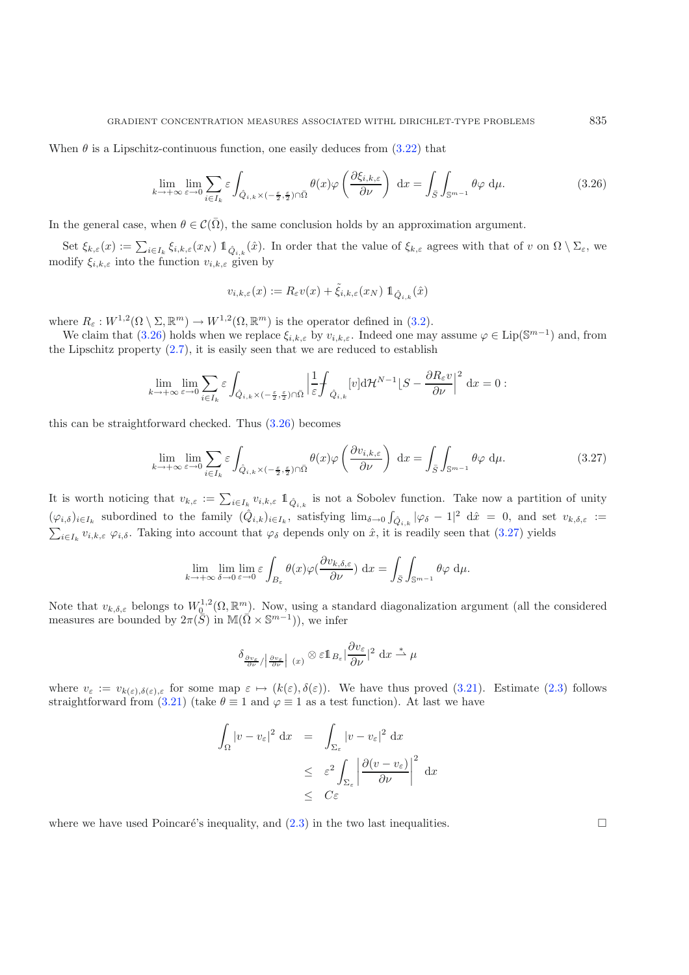<span id="page-17-0"></span>When  $\theta$  is a Lipschitz-continuous function, one easily deduces from [\(3.22\)](#page-16-2) that

$$
\lim_{k \to +\infty} \lim_{\varepsilon \to 0} \sum_{i \in I_k} \varepsilon \int_{\hat{Q}_{i,k} \times (-\frac{\varepsilon}{2}, \frac{\varepsilon}{2}) \cap \bar{\Omega}} \theta(x) \varphi\left(\frac{\partial \xi_{i,k,\varepsilon}}{\partial \nu}\right) dx = \int_{\bar{S}} \int_{\mathbb{S}^{m-1}} \theta \varphi \, \mathrm{d}\mu. \tag{3.26}
$$

In the general case, when  $\theta \in \mathcal{C}(\bar{\Omega})$ , the same conclusion holds by an approximation argument.

Set  $\xi_{k,\varepsilon}(x) := \sum_{i \in I_k} \xi_{i,k,\varepsilon}(x_N) \mathbb{1}_{\hat{Q}_{i,k}}(\hat{x})$ . In order that the value of  $\xi_{k,\varepsilon}$  agrees with that of v on  $\Omega \setminus \Sigma_{\varepsilon}$ , we modify  $\xi_{i,k,\varepsilon}$  into the function  $v_{i,k,\varepsilon}$  given by

$$
v_{i,k,\varepsilon}(x) := R_{\varepsilon}v(x) + \tilde{\xi}_{i,k,\varepsilon}(x_N) \mathbb{1}_{\hat{Q}_{i,k}}(\hat{x})
$$

<span id="page-17-1"></span>where  $R_{\varepsilon}: W^{1,2}(\Omega \setminus \Sigma, \mathbb{R}^m) \to W^{1,2}(\Omega, \mathbb{R}^m)$  is the operator defined in [\(3.2\)](#page-8-2).

We claim that [\(3.26\)](#page-17-0) holds when we replace  $\xi_{i,k,\varepsilon}$  by  $v_{i,k,\varepsilon}$ . Indeed one may assume  $\varphi \in \text{Lip}(\mathbb{S}^{m-1})$  and, from the Lipschitz property  $(2.7)$ , it is easily seen that we are reduced to establish

$$
\lim_{k \to +\infty} \lim_{\varepsilon \to 0} \sum_{i \in I_k} \varepsilon \int_{\hat{Q}_{i,k} \times (-\frac{\varepsilon}{2},\frac{\varepsilon}{2}) \cap \bar{\Omega}} \left| \frac{1}{\varepsilon} \int_{\hat{Q}_{i,k}} [v] \mathrm{d} \mathcal{H}^{N-1} \big| S - \frac{\partial R_{\varepsilon} v}{\partial \nu} \right|^2 \, \mathrm{d} x = 0 :
$$

this can be straightforward checked. Thus [\(3.26\)](#page-17-0) becomes

$$
\lim_{k \to +\infty} \lim_{\varepsilon \to 0} \sum_{i \in I_k} \varepsilon \int_{\hat{Q}_{i,k} \times (-\frac{\varepsilon}{2}, \frac{\varepsilon}{2}) \cap \bar{\Omega}} \theta(x) \varphi\left(\frac{\partial v_{i,k,\varepsilon}}{\partial \nu}\right) dx = \int_{\bar{S}} \int_{\mathbb{S}^{m-1}} \theta \varphi \, \mathrm{d}\mu. \tag{3.27}
$$

It is worth noticing that  $v_{k,\varepsilon} := \sum_{i \in I_k} v_{i,k,\varepsilon} \mathbb{1}_{\hat{Q}_{i,k}}$  is not a Sobolev function. Take now a partition of unity  $(\varphi_{i,\delta})_{i\in I_k}$  subordined to the family  $(\hat{Q}_{i,k})_{i\in I_k}$ , satisfying  $\lim_{\delta\to 0} \int_{\hat{Q}_{i,k}} |\varphi_{\delta} - 1|^2 d\hat{x} = 0$ , and set  $v_{k,\delta,\varepsilon} :=$  $\sum_{i\in I_k} v_{i,k,\varepsilon} \varphi_{i,\delta}$ . Taking into account that  $\varphi_\delta$  depends only on  $\hat{x}$ , it is readily seen that [\(3.27\)](#page-17-1) yields

$$
\lim_{k \to +\infty} \lim_{\delta \to 0} \lim_{\varepsilon \to 0} \varepsilon \int_{B_{\varepsilon}} \theta(x) \varphi(\frac{\partial v_{k,\delta,\varepsilon}}{\partial \nu}) dx = \int_{\bar{S}} \int_{\mathbb{S}^{m-1}} \theta \varphi d\mu.
$$

Note that  $v_{k,\delta,\varepsilon}$  belongs to  $W_0^{1,2}(\Omega,\mathbb{R}^m)$ . Now, using a standard diagonalization argument (all the considered measures are bounded by  $2\pi(\overline{S})$  in  $\mathbb{M}(\overline{\Omega}\times\mathbb{S}^{m-1})$ , we infer

$$
\delta_{\frac{\partial v_{\varepsilon}}{\partial \nu}/\left|\frac{\partial v_{\varepsilon}}{\partial \nu}\right|}(x) \otimes \varepsilon 1\!\!1_{B_{\varepsilon}}\left|\frac{\partial v_{\varepsilon}}{\partial \nu}\right|^2 dx \stackrel{*}{\rightharpoonup} \mu
$$

where  $v_{\varepsilon} := v_{k(\varepsilon),\delta(\varepsilon),\varepsilon}$  for some map  $\varepsilon \mapsto (k(\varepsilon),\delta(\varepsilon))$ . We have thus proved  $(3.21)$ . Estimate  $(2.3)$  follows straightforward from [\(3.21\)](#page-16-3) (take  $\theta \equiv 1$  and  $\varphi \equiv 1$  as a test function). At last we have

$$
\int_{\Omega} |v - v_{\varepsilon}|^{2} dx = \int_{\Sigma_{\varepsilon}} |v - v_{\varepsilon}|^{2} dx
$$
  

$$
\leq \varepsilon^{2} \int_{\Sigma_{\varepsilon}} \left| \frac{\partial (v - v_{\varepsilon})}{\partial \nu} \right|^{2} dx
$$
  

$$
\leq C \varepsilon
$$

where we have used Poincaré's inequality, and  $(2.3)$  in the two last inequalities.  $\Box$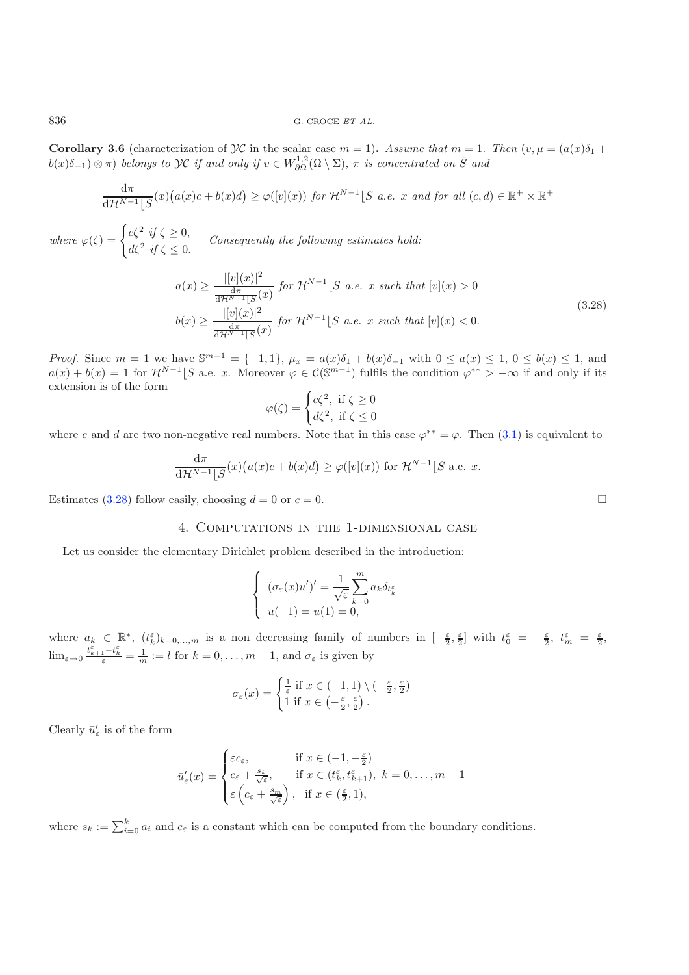**Corollary 3.6** (characterization of  $\mathcal{Y}\mathcal{C}$  in the scalar case  $m = 1$ ). Assume that  $m = 1$ . Then  $(v, \mu) = (a(x)\delta_1 + b(x))$  $b(x)\delta_{-1}$   $\otimes$   $\pi$ ) *belongs to*  $\mathcal{YC}$  *if and only if*  $v \in W^{1,2}_{\partial\Omega}(\Omega \setminus \Sigma)$ ,  $\pi$  *is concentrated on*  $\overline{S}$  *and* 

$$
\frac{d\pi}{d\mathcal{H}^{N-1}[S}(x)\big(a(x)c+b(x)d\big) \ge \varphi([v](x)) \text{ for } \mathcal{H}^{N-1}[S \text{ a.e. } x \text{ and for all } (c,d) \in \mathbb{R}^+ \times \mathbb{R}^+
$$

*where*  $\varphi(\zeta) = \begin{cases} c\zeta^2 & \text{if } \zeta \geq 0, \\ c\zeta^2 & \text{if } \zeta \geq 0. \end{cases}$  $d\zeta^2$  *if*  $\zeta \le 0$ . *Consequently the following estimates hold:* 

$$
a(x) \ge \frac{|[v](x)|^2}{\frac{d\pi}{d\mathcal{H}^{N-1}[S(x)]}} \text{ for } \mathcal{H}^{N-1}[S \text{ a.e. } x \text{ such that } [v](x) > 0
$$
  

$$
b(x) \ge \frac{|[v](x)|^2}{\frac{d\pi}{d\mathcal{H}^{N-1}[S(x)]}} \text{ for } \mathcal{H}^{N-1}[S \text{ a.e. } x \text{ such that } [v](x) < 0.
$$
 (3.28)

*Proof.* Since  $m = 1$  we have  $\mathbb{S}^{m-1} = \{-1, 1\}$ ,  $\mu_x = a(x)\delta_1 + b(x)\delta_{-1}$  with  $0 \le a(x) \le 1$ ,  $0 \le b(x) \le 1$ , and  $a(x) + b(x) = 1$  for  $\mathcal{H}^{N-1}$  S a.e. x. Moreover  $\varphi \in \mathcal{C}(\mathbb{S}^{m-1})$  fulfils the condition  $\varphi^{**} > -\infty$  if and only if its extension is of the form

$$
\varphi(\zeta) = \begin{cases} c\zeta^2, & \text{if } \zeta \ge 0\\ d\zeta^2, & \text{if } \zeta \le 0 \end{cases}
$$

where c and d are two non-negative real numbers. Note that in this case  $\varphi^{**} = \varphi$ . Then [\(3.1\)](#page-8-1) is equivalent to

$$
\frac{d\pi}{d\mathcal{H}^{N-1}[S}(x)\big(a(x)c+b(x)d\big) \ge \varphi([v](x)) \text{ for } \mathcal{H}^{N-1}[S \text{ a.e. } x.
$$

Estimates [\(3.28\)](#page-18-0) follow easily, choosing  $d = 0$  or  $c = 0$ .

## 4. Computations in the 1-dimensional case

Let us consider the elementary Dirichlet problem described in the introduction:

$$
\begin{cases}\n(\sigma_{\varepsilon}(x)u')' = \frac{1}{\sqrt{\varepsilon}} \sum_{k=0}^{m} a_k \delta_{t_k} \\
u(-1) = u(1) = 0,\n\end{cases}
$$

where  $a_k \in \mathbb{R}^*, (t_k^{\varepsilon})_{k=0,\dots,m}$  is a non decreasing family of numbers in  $[-\frac{\varepsilon}{2}, \frac{\varepsilon}{2}]$  with  $t_0^{\varepsilon} = -\frac{\varepsilon}{2}, t_m^{\varepsilon} = \frac{\varepsilon}{2}$ ,  $\lim_{\varepsilon \to 0} \frac{t_{k+1}^{\varepsilon} - t_k^{\varepsilon}}{\varepsilon} = \frac{1}{m} := l$  for  $k = 0, \ldots, m-1$ , and  $\sigma_{\varepsilon}$  is given by

$$
\sigma_{\varepsilon}(x) = \begin{cases} \frac{1}{\varepsilon} \text{ if } x \in (-1,1) \setminus (-\frac{\varepsilon}{2}, \frac{\varepsilon}{2})\\ 1 \text{ if } x \in (-\frac{\varepsilon}{2}, \frac{\varepsilon}{2}) \end{cases}
$$

Clearly  $\bar{u}'_{\varepsilon}$  is of the form

$$
\bar{u}'_{\varepsilon}(x) = \begin{cases}\n\varepsilon c_{\varepsilon}, & \text{if } x \in (-1, -\frac{\varepsilon}{2}) \\
c_{\varepsilon} + \frac{s_k}{\sqrt{\varepsilon}}, & \text{if } x \in (t_k^{\varepsilon}, t_{k+1}^{\varepsilon}), \ k = 0, \dots, m-1 \\
\varepsilon \left( c_{\varepsilon} + \frac{s_m}{\sqrt{\varepsilon}} \right), & \text{if } x \in (\frac{\varepsilon}{2}, 1),\n\end{cases}
$$

where  $s_k := \sum_{i=0}^k a_i$  and  $c_{\varepsilon}$  is a constant which can be computed from the boundary conditions.

<span id="page-18-0"></span>

 $\Box$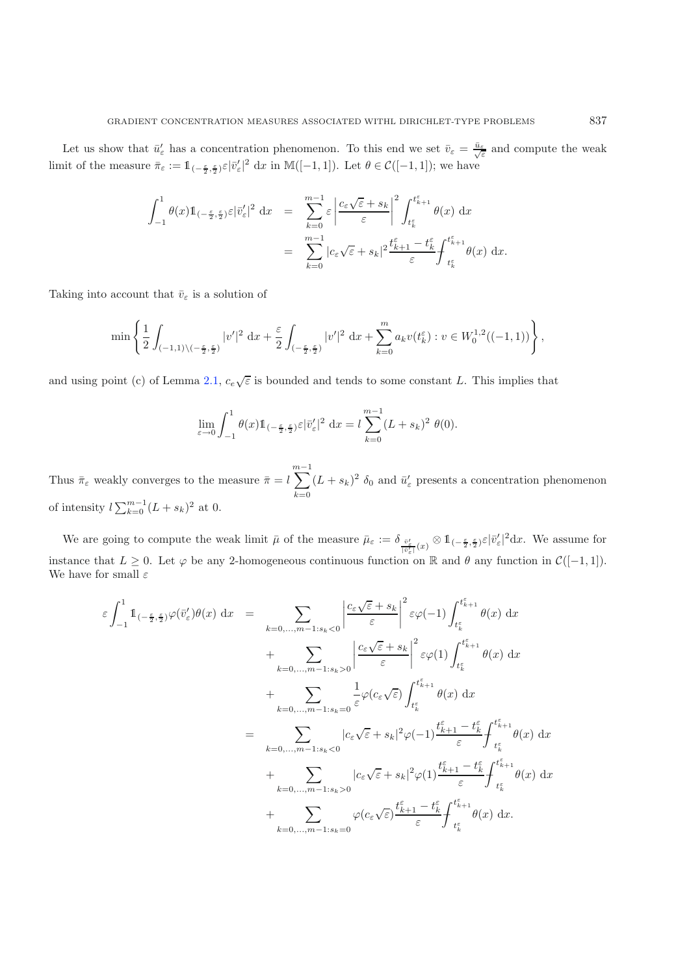Let us show that  $\bar{u}'_{\varepsilon}$  has a concentration phenomenon. To this end we set  $\bar{v}_{\varepsilon} = \frac{\bar{u}_{\varepsilon}}{\sqrt{\varepsilon}}$  and compute the weak limit of the measure  $\bar{\pi}_{\varepsilon} := \mathbb{1}_{(-\frac{\varepsilon}{2}, \frac{\varepsilon}{2})} \varepsilon |\bar{v}_{\varepsilon}'|^2 dx$  in M([-1, 1]). Let  $\theta \in \mathcal{C}([-1, 1])$ ; we have

$$
\begin{array}{lcl} \displaystyle \int_{-1}^{1} \theta(x) 1\!\!1_{(-\frac{\varepsilon}{2},\frac{\varepsilon}{2})} \varepsilon |\bar v'_\varepsilon|^2 \, \,\mathrm{d}x & = & \displaystyle \sum_{k=0}^{m-1} \varepsilon \left| \dfrac{c_\varepsilon \sqrt \varepsilon + s_k}{\varepsilon} \right|^2 \int_{t_k^\varepsilon}^{t_{k+1}^\varepsilon} \theta(x) \, \,\mathrm{d}x \\ & = & \displaystyle \sum_{k=0}^{m-1} |c_\varepsilon \sqrt \varepsilon + s_k|^2 \dfrac{t_{k+1}^\varepsilon - t_k^\varepsilon}{\varepsilon} \int_{t_k^\varepsilon}^{t_{k+1}^\varepsilon} \theta(x) \, \,\mathrm{d}x. \end{array}
$$

Taking into account that  $\bar{v}_{\varepsilon}$  is a solution of

$$
\min\left\{\frac12\int_{(-1,1)\backslash(-\frac{\varepsilon}{2},\frac{\varepsilon}{2})}|v'|^2\,\mathop{\mathrm{d}\!} x+\frac{\varepsilon}{2}\int_{(-\frac{\varepsilon}{2},\frac{\varepsilon}{2})}|v'|^2\,\mathop{\mathrm{d}\!} x+\sum_{k=0}^ma_kv(t_k^{\varepsilon}):v\in W^{1,2}_0((-1,1))\right\},
$$

and using point (c) of Lemma [2.1,](#page-4-2)  $c_e\sqrt{\varepsilon}$  is bounded and tends to some constant L. This implies that

$$
\lim_{\varepsilon \to 0} \int_{-1}^1 \theta(x) 1\!\!1_{(-\frac{\varepsilon}{2}, \frac{\varepsilon}{2})} \varepsilon |\bar{v}'_{\varepsilon}|^2 \, \mathrm{d}x = l \sum_{k=0}^{m-1} (L + s_k)^2 \, \theta(0).
$$

Thus  $\bar{\pi}_{\varepsilon}$  weakly converges to the measure  $\bar{\pi} = l$  $\sum_{ }^{m-1}$  $k=0$  $(L + s_k)^2$   $\delta_0$  and  $\bar{u}'_{\varepsilon}$  presents a concentration phenomenon of intensity  $l\sum_{k=0}^{m-1}(L+s_k)^2$  at 0.

We are going to compute the weak limit  $\bar{\mu}$  of the measure  $\bar{\mu}_{\varepsilon} := \delta_{\frac{\bar{v}_{\varepsilon}'}{|\bar{v}_{\varepsilon}'|}(x)} \otimes 1_{(-\frac{\varepsilon}{2}, \frac{\varepsilon}{2})} \varepsilon |\bar{v}_{\varepsilon}'|^2 dx$ . We assume for instance that  $L \geq 0$ . Let  $\varphi$  be any 2-homogeneous continuous function on R and  $\theta$  any function in  $\mathcal{C}([-1, 1])$ . We have for small  $\varepsilon$ 

$$
\varepsilon \int_{-1}^{1} \mathbb{1}_{(-\frac{\varepsilon}{2},\frac{\varepsilon}{2})} \varphi(\bar{v}'_{\varepsilon}) \theta(x) dx = \sum_{k=0,...,m-1:s_k<0} \left| \frac{c_{\varepsilon} \sqrt{\varepsilon} + s_k}{\varepsilon} \right|^2 \varepsilon \varphi(-1) \int_{t_k^{\varepsilon}}^{t_{k+1}^{\varepsilon}} \theta(x) dx \n+ \sum_{k=0,...,m-1:s_k>0} \left| \frac{c_{\varepsilon} \sqrt{\varepsilon} + s_k}{\varepsilon} \right|^2 \varepsilon \varphi(1) \int_{t_k^{\varepsilon}}^{t_{k+1}^{\varepsilon}} \theta(x) dx \n+ \sum_{k=0,...,m-1:s_k=0} \frac{1}{\varepsilon} \varphi(c_{\varepsilon} \sqrt{\varepsilon}) \int_{t_k^{\varepsilon}}^{t_{k+1}^{\varepsilon}} \theta(x) dx \n= \sum_{k=0,...,m-1:s_k<0} |c_{\varepsilon} \sqrt{\varepsilon} + s_k|^2 \varphi(-1) \frac{t_{k+1}^{\varepsilon} - t_k^{\varepsilon}}{\varepsilon} \int_{t_k^{\varepsilon}}^{t_{k+1}^{\varepsilon}} \theta(x) dx \n+ \sum_{k=0,...,m-1:s_k>0} |c_{\varepsilon} \sqrt{\varepsilon} + s_k|^2 \varphi(1) \frac{t_{k+1}^{\varepsilon} - t_k^{\varepsilon}}{\varepsilon} \int_{t_k^{\varepsilon}}^{t_{k+1}^{\varepsilon}} \theta(x) dx \n+ \sum_{k=0,...,m-1:s_k=0} \varphi(c_{\varepsilon} \sqrt{\varepsilon}) \frac{t_{k+1}^{\varepsilon} - t_k^{\varepsilon}}{\varepsilon} \int_{t_k^{\varepsilon}}^{t_{k+1}^{\varepsilon}} \theta(x) dx.
$$